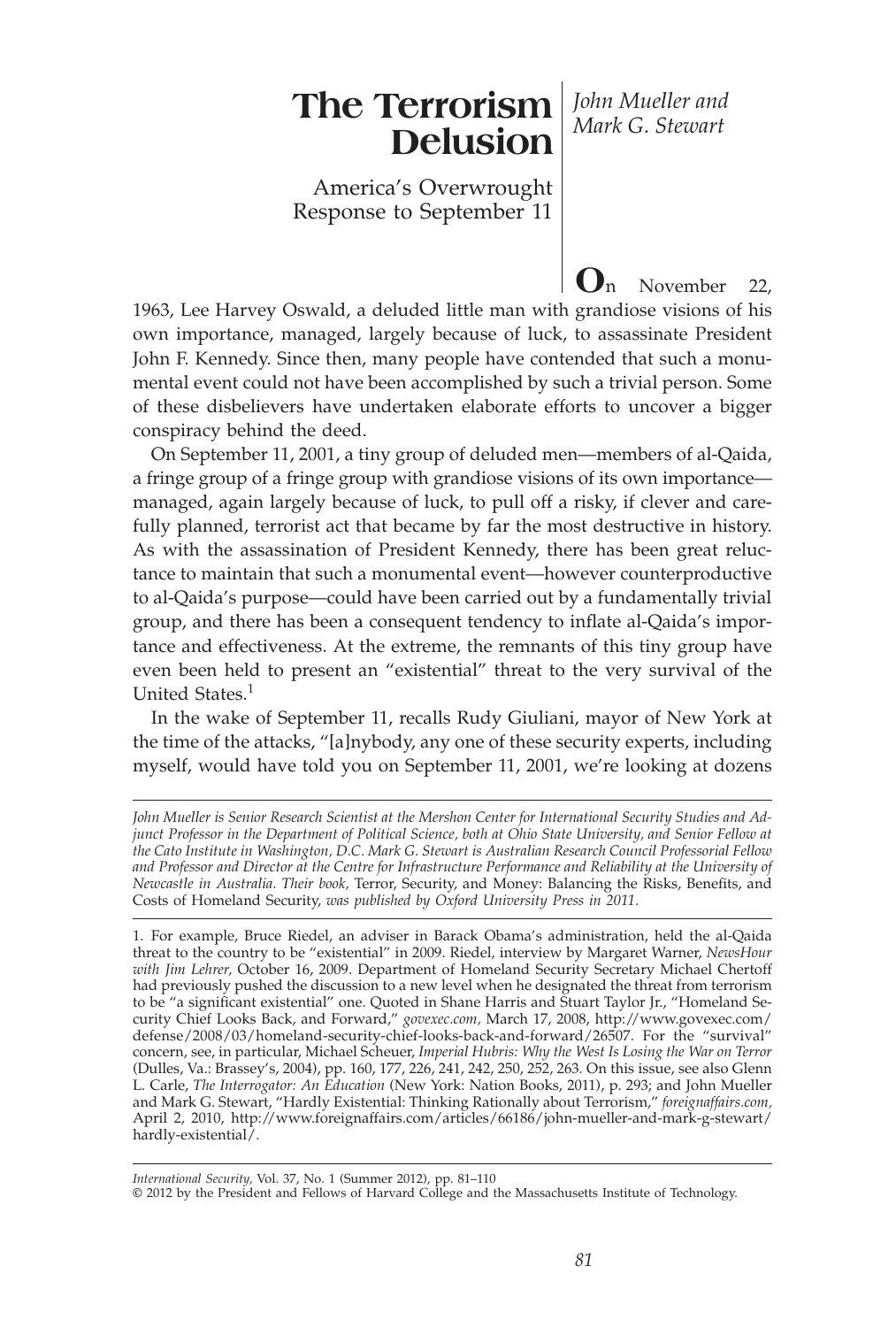# **The Terrorism** *John Mueller and* **Delusion**

*Mark G. Stewart*

America's Overwrought Response to September 11

November 22, 1963, Lee Harvey Oswald, a deluded little man with grandiose visions of his own importance, managed, largely because of luck, to assassinate President John F. Kennedy. Since then, many people have contended that such a monumental event could not have been accomplished by such a trivial person. Some of these disbelievers have undertaken elaborate efforts to uncover a bigger conspiracy behind the deed.

On September 11, 2001, a tiny group of deluded men—members of al-Qaida, a fringe group of a fringe group with grandiose visions of its own importance managed, again largely because of luck, to pull off a risky, if clever and carefully planned, terrorist act that became by far the most destructive in history. As with the assassination of President Kennedy, there has been great reluctance to maintain that such a monumental event—however counterproductive to al-Qaida's purpose—could have been carried out by a fundamentally trivial group, and there has been a consequent tendency to inflate al-Qaida's importance and effectiveness. At the extreme, the remnants of this tiny group have even been held to present an "existential" threat to the very survival of the United States.<sup>1</sup>

In the wake of September 11, recalls Rudy Giuliani, mayor of New York at the time of the attacks, "[a]nybody, any one of these security experts, including myself, would have told you on September 11, 2001, we're looking at dozens

*John Mueller is Senior Research Scientist at the Mershon Center for International Security Studies and Adjunct Professor in the Department of Political Science, both at Ohio State University, and Senior Fellow at the Cato Institute in Washington, D.C. Mark G. Stewart is Australian Research Council Professorial Fellow and Professor and Director at the Centre for Infrastructure Performance and Reliability at the University of Newcastle in Australia. Their book, Terror, Security, and Money: Balancing the Risks, Benefits, and* Costs of Homeland Security, *was published by Oxford University Press in 2011.*

1. For example, Bruce Riedel, an adviser in Barack Obama's administration, held the al-Qaida threat to the country to be "existential" in 2009. Riedel, interview by Margaret Warner, *NewsHour with Jim Lehrer,* October 16, 2009. Department of Homeland Security Secretary Michael Chertoff had previously pushed the discussion to a new level when he designated the threat from terrorism to be "a significant existential" one. Quoted in Shane Harris and Stuart Taylor Jr., "Homeland Security Chief Looks Back, and Forward," *govexec.com,* March 17, 2008, http://www.govexec.com/ defense/2008/03/homeland-security-chief-looks-back-and-forward/26507. For the "survival" concern, see, in particular, Michael Scheuer, *Imperial Hubris: Why the West Is Losing the War on Terror* (Dulles, Va.: Brassey's, 2004), pp. 160, 177, 226, 241, 242, 250, 252, 263. On this issue, see also Glenn L. Carle, *The Interrogator: An Education* (New York: Nation Books, 2011), p. 293; and John Mueller and Mark G. Stewart, "Hardly Existential: Thinking Rationally about Terrorism," *foreignaffairs.com,* April 2, 2010, http://www.foreignaffairs.com/articles/66186/john-mueller-and-mark-g-stewart/ hardly-existential/.

*International Security,* Vol. 37, No. 1 (Summer 2012), pp. 81–110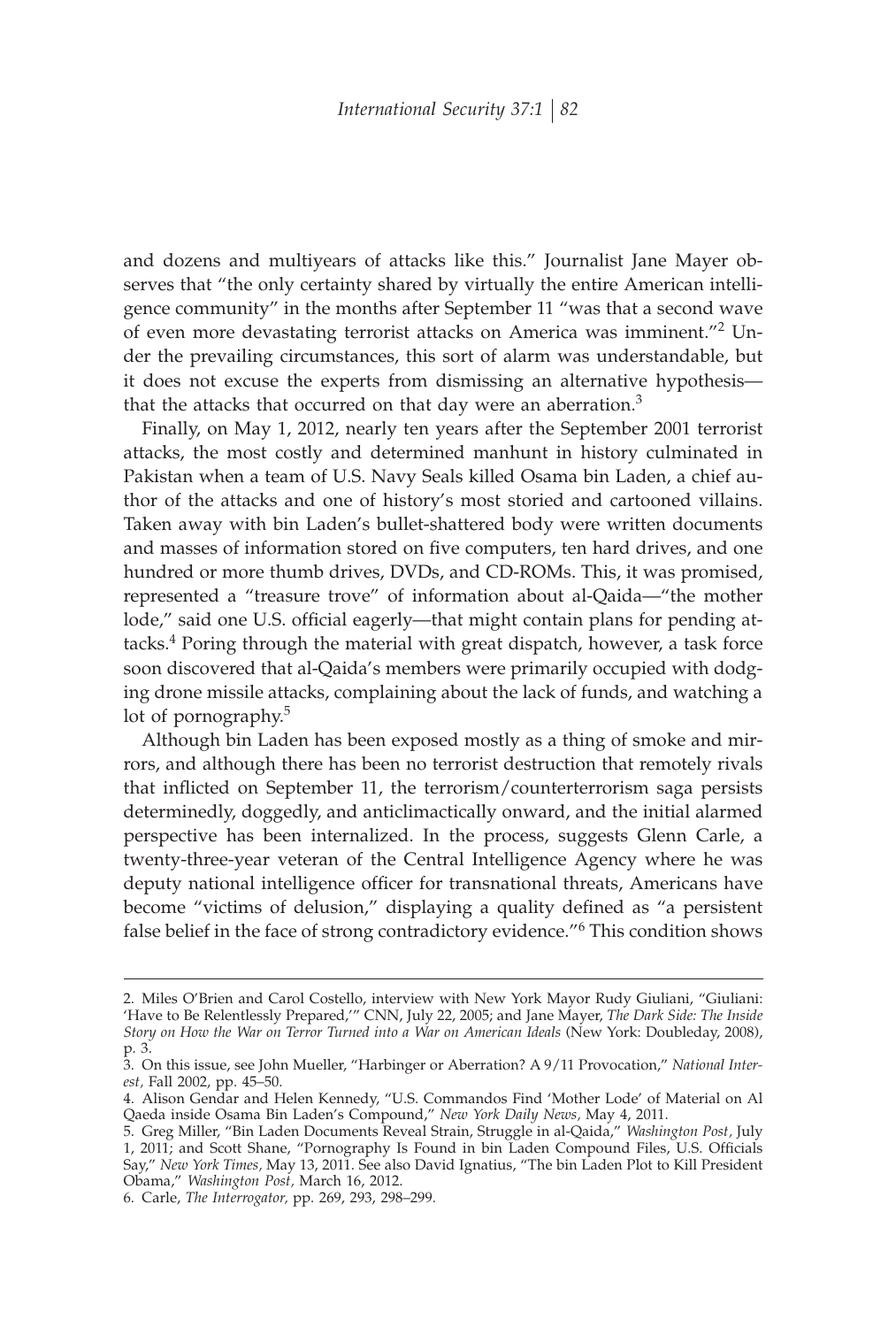and dozens and multiyears of attacks like this." Journalist Jane Mayer observes that "the only certainty shared by virtually the entire American intelligence community" in the months after September 11 "was that a second wave of even more devastating terrorist attacks on America was imminent."<sup>2</sup> Under the prevailing circumstances, this sort of alarm was understandable, but it does not excuse the experts from dismissing an alternative hypothesis that the attacks that occurred on that day were an aberration. $3$ 

Finally, on May 1, 2012, nearly ten years after the September 2001 terrorist attacks, the most costly and determined manhunt in history culminated in Pakistan when a team of U.S. Navy Seals killed Osama bin Laden, a chief author of the attacks and one of history's most storied and cartooned villains. Taken away with bin Laden's bullet-shattered body were written documents and masses of information stored on five computers, ten hard drives, and one hundred or more thumb drives, DVDs, and CD-ROMs. This, it was promised, represented a "treasure trove" of information about al-Qaida—"the mother lode," said one U.S. official eagerly—that might contain plans for pending attacks.<sup>4</sup> Poring through the material with great dispatch, however, a task force soon discovered that al-Qaida's members were primarily occupied with dodging drone missile attacks, complaining about the lack of funds, and watching a lot of pornography.<sup>5</sup>

Although bin Laden has been exposed mostly as a thing of smoke and mirrors, and although there has been no terrorist destruction that remotely rivals that inflicted on September 11, the terrorism/counterterrorism saga persists determinedly, doggedly, and anticlimactically onward, and the initial alarmed perspective has been internalized. In the process, suggests Glenn Carle, a twenty-three-year veteran of the Central Intelligence Agency where he was deputy national intelligence officer for transnational threats, Americans have become "victims of delusion," displaying a quality defined as "a persistent false belief in the face of strong contradictory evidence."<sup>6</sup> This condition shows

<sup>2.</sup> Miles O'Brien and Carol Costello, interview with New York Mayor Rudy Giuliani, "Giuliani: 'Have to Be Relentlessly Prepared,'" CNN, July 22, 2005; and Jane Mayer, *The Dark Side: The Inside Story on How the War on Terror Turned into a War on American Ideals* (New York: Doubleday, 2008), p. 3.

<sup>3.</sup> On this issue, see John Mueller, "Harbinger or Aberration? A 9/11 Provocation," *National Interest,* Fall 2002, pp. 45–50.

<sup>4.</sup> Alison Gendar and Helen Kennedy, "U.S. Commandos Find 'Mother Lode' of Material on Al Qaeda inside Osama Bin Laden's Compound," *New York Daily News,* May 4, 2011.

<sup>5.</sup> Greg Miller, "Bin Laden Documents Reveal Strain, Struggle in al-Qaida," *Washington Post,* July 1, 2011; and Scott Shane, "Pornography Is Found in bin Laden Compound Files, U.S. Officials Say," *New York Times,* May 13, 2011. See also David Ignatius, "The bin Laden Plot to Kill President Obama," *Washington Post,* March 16, 2012.

<sup>6.</sup> Carle, *The Interrogator,* pp. 269, 293, 298–299.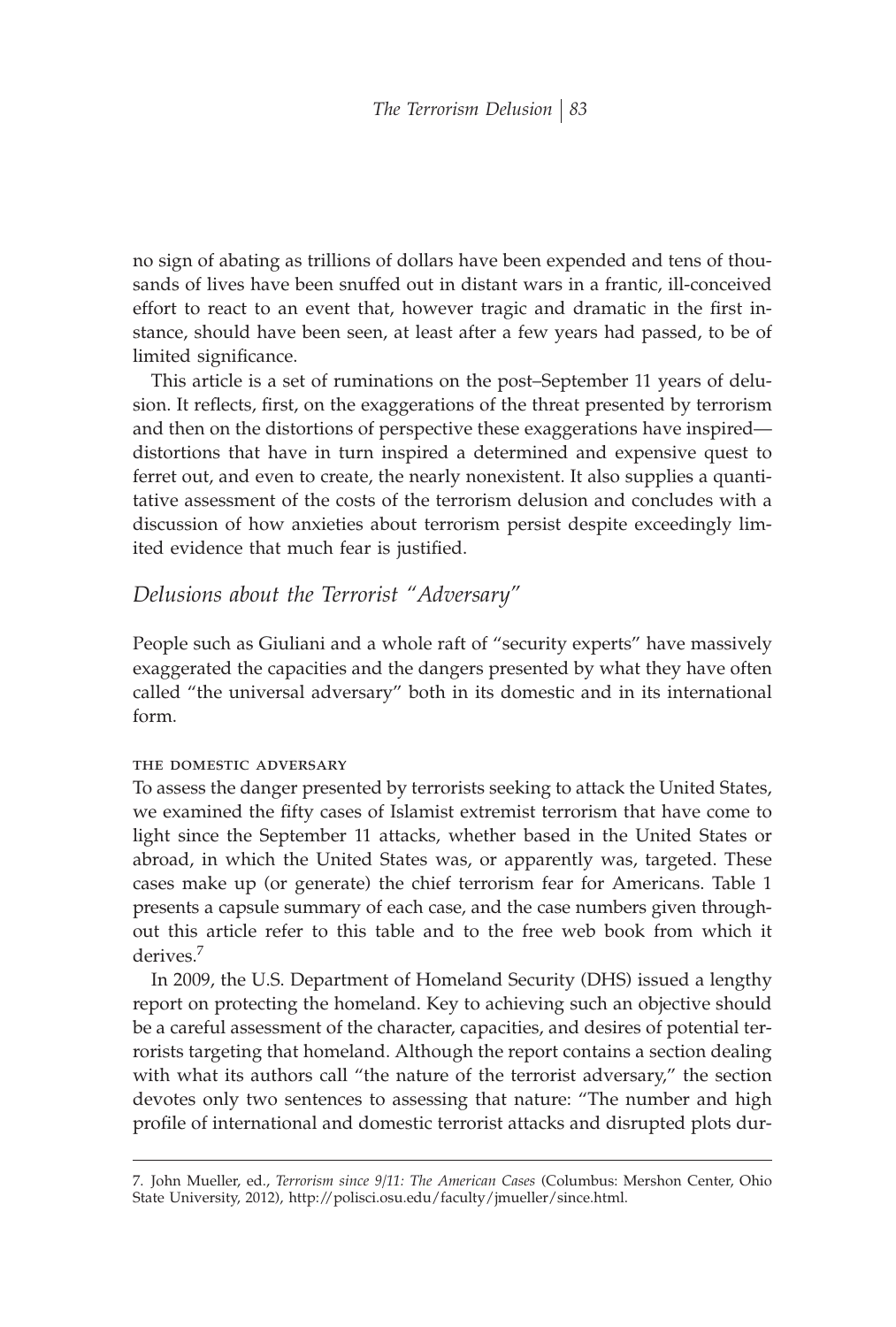no sign of abating as trillions of dollars have been expended and tens of thousands of lives have been snuffed out in distant wars in a frantic, ill-conceived effort to react to an event that, however tragic and dramatic in the first instance, should have been seen, at least after a few years had passed, to be of limited significance.

This article is a set of ruminations on the post–September 11 years of delusion. It reflects, first, on the exaggerations of the threat presented by terrorism and then on the distortions of perspective these exaggerations have inspired distortions that have in turn inspired a determined and expensive quest to ferret out, and even to create, the nearly nonexistent. It also supplies a quantitative assessment of the costs of the terrorism delusion and concludes with a discussion of how anxieties about terrorism persist despite exceedingly limited evidence that much fear is justified.

# *Delusions about the Terrorist "Adversary"*

People such as Giuliani and a whole raft of "security experts" have massively exaggerated the capacities and the dangers presented by what they have often called "the universal adversary" both in its domestic and in its international form.

## the domestic adversary

To assess the danger presented by terrorists seeking to attack the United States, we examined the fifty cases of Islamist extremist terrorism that have come to light since the September 11 attacks, whether based in the United States or abroad, in which the United States was, or apparently was, targeted. These cases make up (or generate) the chief terrorism fear for Americans. Table 1 presents a capsule summary of each case, and the case numbers given throughout this article refer to this table and to the free web book from which it derives.<sup>7</sup>

In 2009, the U.S. Department of Homeland Security (DHS) issued a lengthy report on protecting the homeland. Key to achieving such an objective should be a careful assessment of the character, capacities, and desires of potential terrorists targeting that homeland. Although the report contains a section dealing with what its authors call "the nature of the terrorist adversary," the section devotes only two sentences to assessing that nature: "The number and high profile of international and domestic terrorist attacks and disrupted plots dur-

<sup>7.</sup> John Mueller, ed., *Terrorism since 9/11: The American Cases* (Columbus: Mershon Center, Ohio State University, 2012), http://polisci.osu.edu/faculty/jmueller/since.html.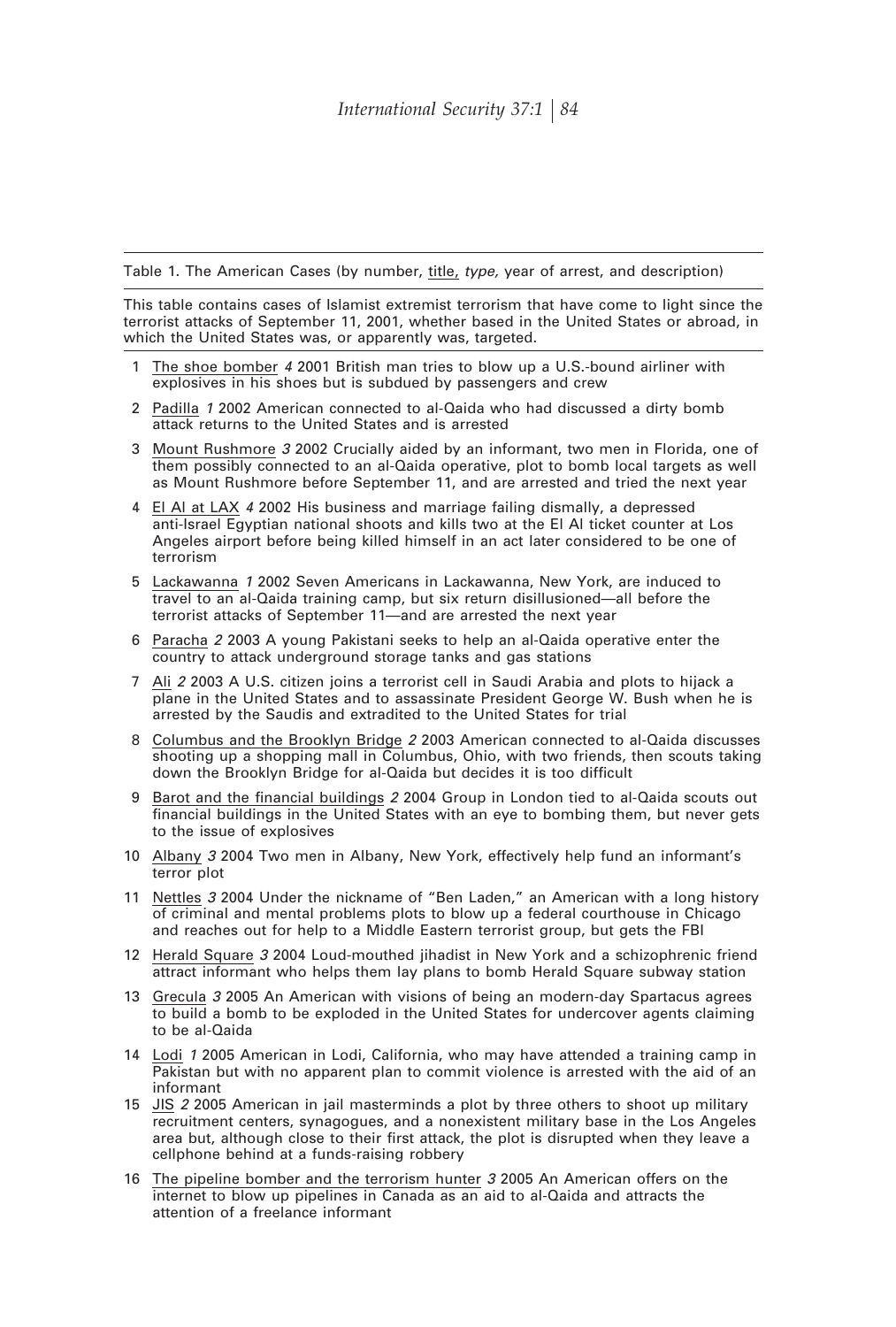Table 1. The American Cases (by number, title, *type,* year of arrest, and description)

This table contains cases of Islamist extremist terrorism that have come to light since the terrorist attacks of September 11, 2001, whether based in the United States or abroad, in which the United States was, or apparently was, targeted.

- 1 The shoe bomber *4* 2001 British man tries to blow up a U.S.-bound airliner with explosives in his shoes but is subdued by passengers and crew
- 2 Padilla *1* 2002 American connected to al-Qaida who had discussed a dirty bomb attack returns to the United States and is arrested
- 3 Mount Rushmore *3* 2002 Crucially aided by an informant, two men in Florida, one of them possibly connected to an al-Qaida operative, plot to bomb local targets as well as Mount Rushmore before September 11, and are arrested and tried the next year
- 4 El Al at LAX *4* 2002 His business and marriage failing dismally, a depressed anti-Israel Egyptian national shoots and kills two at the El Al ticket counter at Los Angeles airport before being killed himself in an act later considered to be one of terrorism
- 5 Lackawanna *1* 2002 Seven Americans in Lackawanna, New York, are induced to travel to an al-Qaida training camp, but six return disillusioned—all before the terrorist attacks of September 11—and are arrested the next year
- 6 Paracha *2* 2003 A young Pakistani seeks to help an al-Qaida operative enter the country to attack underground storage tanks and gas stations
- 7 Ali *2* 2003 A U.S. citizen joins a terrorist cell in Saudi Arabia and plots to hijack a plane in the United States and to assassinate President George W. Bush when he is arrested by the Saudis and extradited to the United States for trial
- 8 Columbus and the Brooklyn Bridge *2* 2003 American connected to al-Qaida discusses shooting up a shopping mall in Columbus, Ohio, with two friends, then scouts taking down the Brooklyn Bridge for al-Qaida but decides it is too difficult
- 9 Barot and the financial buildings 2 2004 Group in London tied to al-Qaida scouts out financial buildings in the United States with an eye to bombing them, but never gets to the issue of explosives
- 10 Albany *3* 2004 Two men in Albany, New York, effectively help fund an informant's terror plot
- 11 Nettles *3* 2004 Under the nickname of "Ben Laden," an American with a long history of criminal and mental problems plots to blow up a federal courthouse in Chicago and reaches out for help to a Middle Eastern terrorist group, but gets the FBI
- 12 Herald Square *3* 2004 Loud-mouthed jihadist in New York and a schizophrenic friend attract informant who helps them lay plans to bomb Herald Square subway station
- 13 Grecula *3* 2005 An American with visions of being an modern-day Spartacus agrees to build a bomb to be exploded in the United States for undercover agents claiming to be al-Qaida
- 14 Lodi *1* 2005 American in Lodi, California, who may have attended a training camp in Pakistan but with no apparent plan to commit violence is arrested with the aid of an informant
- 15 JIS *2* 2005 American in jail masterminds a plot by three others to shoot up military recruitment centers, synagogues, and a nonexistent military base in the Los Angeles area but, although close to their first attack, the plot is disrupted when they leave a cellphone behind at a funds-raising robbery
- 16 The pipeline bomber and the terrorism hunter *3* 2005 An American offers on the internet to blow up pipelines in Canada as an aid to al-Qaida and attracts the attention of a freelance informant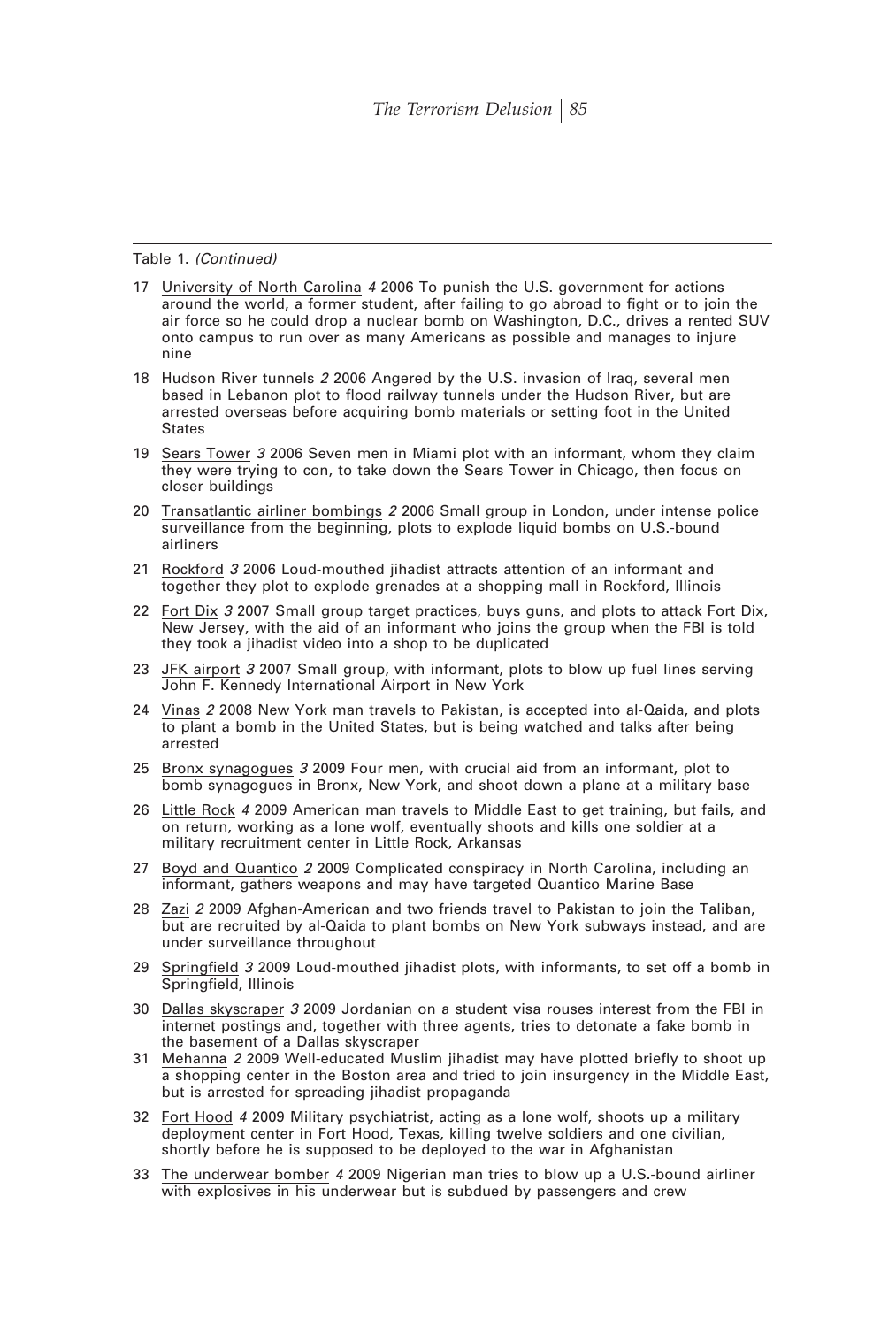#### Table 1. *(Continued)*

- 17 University of North Carolina *4* 2006 To punish the U.S. government for actions around the world, a former student, after failing to go abroad to fight or to join the air force so he could drop a nuclear bomb on Washington, D.C., drives a rented SUV onto campus to run over as many Americans as possible and manages to injure nine
- 18 Hudson River tunnels *2* 2006 Angered by the U.S. invasion of Iraq, several men based in Lebanon plot to flood railway tunnels under the Hudson River, but are arrested overseas before acquiring bomb materials or setting foot in the United States
- 19 Sears Tower *3* 2006 Seven men in Miami plot with an informant, whom they claim they were trying to con, to take down the Sears Tower in Chicago, then focus on closer buildings
- 20 Transatlantic airliner bombings *2* 2006 Small group in London, under intense police surveillance from the beginning, plots to explode liquid bombs on U.S.-bound airliners
- 21 Rockford *3* 2006 Loud-mouthed jihadist attracts attention of an informant and together they plot to explode grenades at a shopping mall in Rockford, Illinois
- 22 Fort Dix *3* 2007 Small group target practices, buys guns, and plots to attack Fort Dix, New Jersey, with the aid of an informant who joins the group when the FBI is told they took a jihadist video into a shop to be duplicated
- 23 JFK airport *3* 2007 Small group, with informant, plots to blow up fuel lines serving John F. Kennedy International Airport in New York
- 24 Vinas *2* 2008 New York man travels to Pakistan, is accepted into al-Qaida, and plots to plant a bomb in the United States, but is being watched and talks after being arrested
- 25 Bronx synagogues *3* 2009 Four men, with crucial aid from an informant, plot to bomb synagogues in Bronx, New York, and shoot down a plane at a military base
- 26 Little Rock *4* 2009 American man travels to Middle East to get training, but fails, and on return, working as a lone wolf, eventually shoots and kills one soldier at a military recruitment center in Little Rock, Arkansas
- 27 Boyd and Quantico *2* 2009 Complicated conspiracy in North Carolina, including an informant, gathers weapons and may have targeted Quantico Marine Base
- 28 Zazi *2* 2009 Afghan-American and two friends travel to Pakistan to join the Taliban, but are recruited by al-Qaida to plant bombs on New York subways instead, and are under surveillance throughout
- 29 Springfield 3 2009 Loud-mouthed jihadist plots, with informants, to set off a bomb in Springfield, Illinois
- 30 Dallas skyscraper *3* 2009 Jordanian on a student visa rouses interest from the FBI in internet postings and, together with three agents, tries to detonate a fake bomb in the basement of a Dallas skyscraper
- 31 Mehanna 2 2009 Well-educated Muslim jihadist may have plotted briefly to shoot up a shopping center in the Boston area and tried to join insurgency in the Middle East, but is arrested for spreading jihadist propaganda
- 32 Fort Hood *4* 2009 Military psychiatrist, acting as a lone wolf, shoots up a military deployment center in Fort Hood, Texas, killing twelve soldiers and one civilian, shortly before he is supposed to be deployed to the war in Afghanistan
- 33 The underwear bomber *4* 2009 Nigerian man tries to blow up a U.S.-bound airliner with explosives in his underwear but is subdued by passengers and crew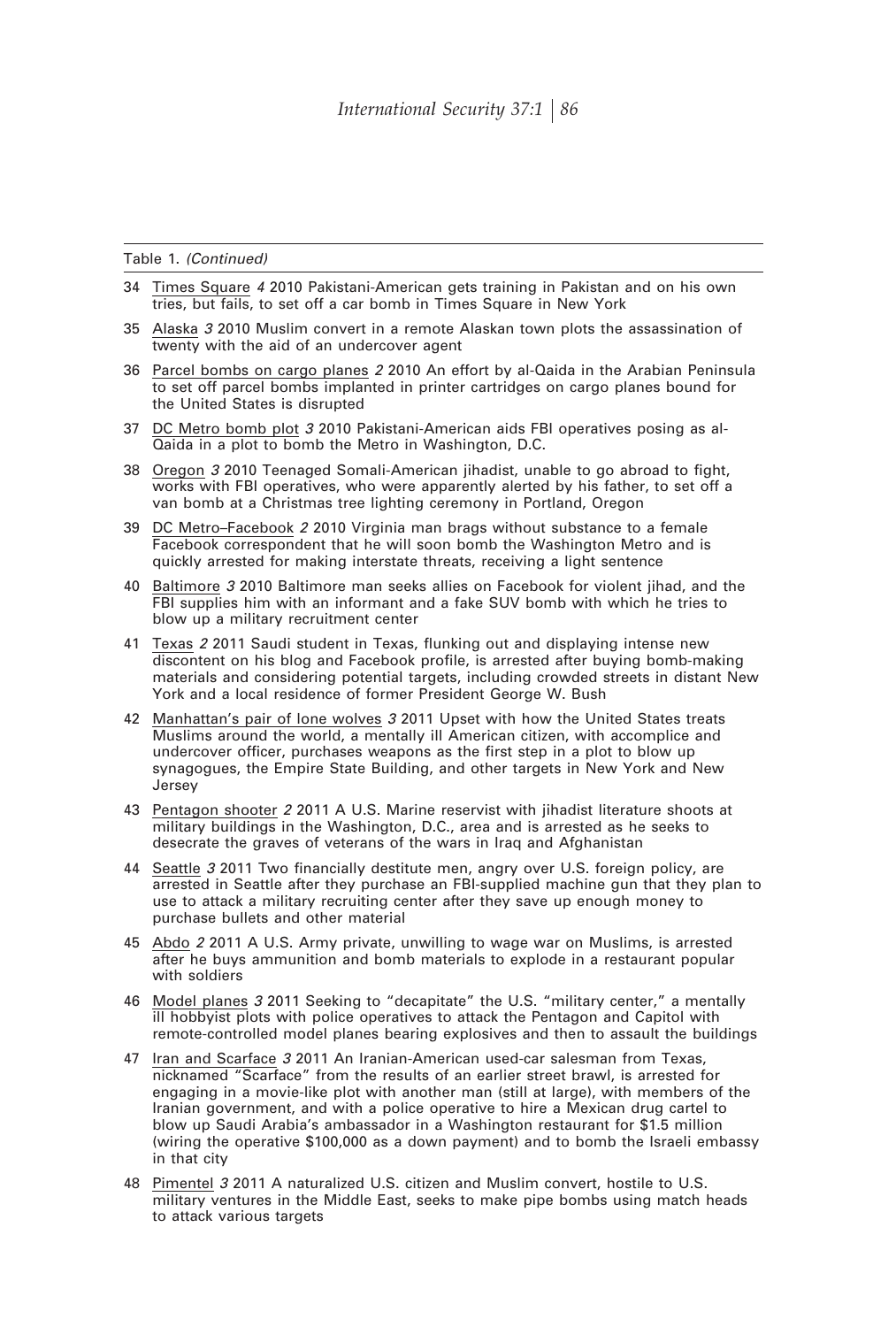Table 1. *(Continued)*

- 34 Times Square *4* 2010 Pakistani-American gets training in Pakistan and on his own tries, but fails, to set off a car bomb in Times Square in New York
- 35 Alaska *3* 2010 Muslim convert in a remote Alaskan town plots the assassination of twenty with the aid of an undercover agent
- 36 Parcel bombs on cargo planes *2* 2010 An effort by al-Qaida in the Arabian Peninsula to set off parcel bombs implanted in printer cartridges on cargo planes bound for the United States is disrupted
- 37 DC Metro bomb plot *3* 2010 Pakistani-American aids FBI operatives posing as al-Qaida in a plot to bomb the Metro in Washington, D.C.
- 38 Oregon 3 2010 Teenaged Somali-American jihadist, unable to go abroad to fight, works with FBI operatives, who were apparently alerted by his father, to set off a van bomb at a Christmas tree lighting ceremony in Portland, Oregon
- 39 DC Metro–Facebook *2* 2010 Virginia man brags without substance to a female Facebook correspondent that he will soon bomb the Washington Metro and is quickly arrested for making interstate threats, receiving a light sentence
- 40 Baltimore *3* 2010 Baltimore man seeks allies on Facebook for violent jihad, and the FBI supplies him with an informant and a fake SUV bomb with which he tries to blow up a military recruitment center
- 41 Texas 2 2011 Saudi student in Texas, flunking out and displaying intense new discontent on his blog and Facebook profile, is arrested after buying bomb-making materials and considering potential targets, including crowded streets in distant New York and a local residence of former President George W. Bush
- 42 Manhattan's pair of lone wolves *3* 2011 Upset with how the United States treats Muslims around the world, a mentally ill American citizen, with accomplice and undercover officer, purchases weapons as the first step in a plot to blow up synagogues, the Empire State Building, and other targets in New York and New Jersey
- 43 Pentagon shooter *2* 2011 A U.S. Marine reservist with jihadist literature shoots at military buildings in the Washington, D.C., area and is arrested as he seeks to desecrate the graves of veterans of the wars in Iraq and Afghanistan
- 44 Seattle 3 2011 Two financially destitute men, angry over U.S. foreign policy, are arrested in Seattle after they purchase an FBI-supplied machine gun that they plan to use to attack a military recruiting center after they save up enough money to purchase bullets and other material
- 45 Abdo *2* 2011 A U.S. Army private, unwilling to wage war on Muslims, is arrested after he buys ammunition and bomb materials to explode in a restaurant popular with soldiers
- 46 Model planes *3* 2011 Seeking to "decapitate" the U.S. "military center," a mentally ill hobbyist plots with police operatives to attack the Pentagon and Capitol with remote-controlled model planes bearing explosives and then to assault the buildings
- 47 Iran and Scarface *3* 2011 An Iranian-American used-car salesman from Texas, nicknamed "Scarface" from the results of an earlier street brawl, is arrested for engaging in a movie-like plot with another man (still at large), with members of the Iranian government, and with a police operative to hire a Mexican drug cartel to blow up Saudi Arabia's ambassador in a Washington restaurant for \$1.5 million (wiring the operative \$100,000 as a down payment) and to bomb the Israeli embassy in that city
- 48 Pimentel *3* 2011 A naturalized U.S. citizen and Muslim convert, hostile to U.S. military ventures in the Middle East, seeks to make pipe bombs using match heads to attack various targets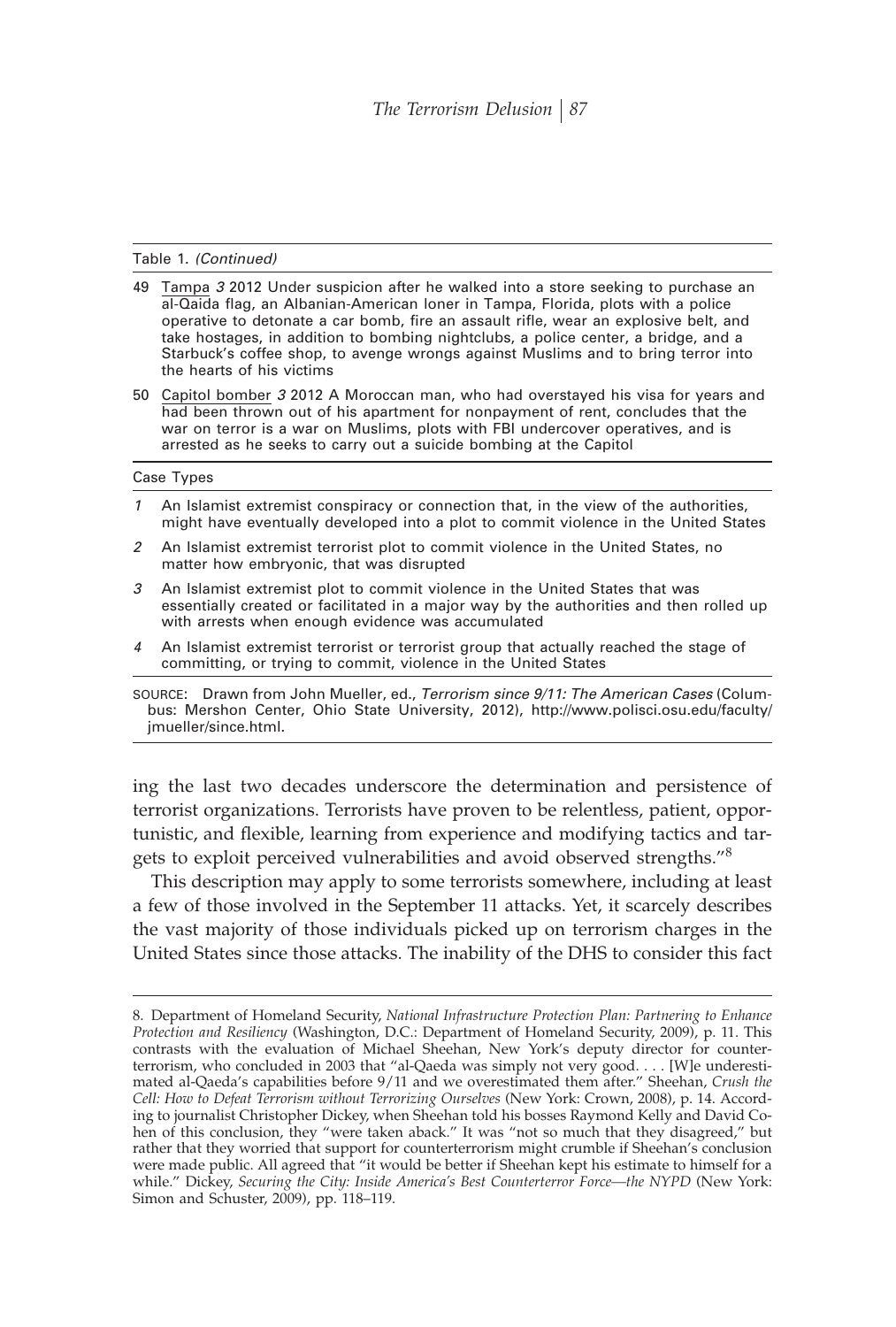#### Table 1. *(Continued)*

- 49 Tampa *3* 2012 Under suspicion after he walked into a store seeking to purchase an al-Qaida flag, an Albanian-American loner in Tampa, Florida, plots with a police operative to detonate a car bomb, fire an assault rifle, wear an explosive belt, and take hostages, in addition to bombing nightclubs, a police center, a bridge, and a Starbuck's coffee shop, to avenge wrongs against Muslims and to bring terror into the hearts of his victims
- 50 Capitol bomber *3* 2012 A Moroccan man, who had overstayed his visa for years and had been thrown out of his apartment for nonpayment of rent, concludes that the war on terror is a war on Muslims, plots with FBI undercover operatives, and is arrested as he seeks to carry out a suicide bombing at the Capitol

#### Case Types

- *1* An Islamist extremist conspiracy or connection that, in the view of the authorities, might have eventually developed into a plot to commit violence in the United States
- *2* An Islamist extremist terrorist plot to commit violence in the United States, no matter how embryonic, that was disrupted
- *3* An Islamist extremist plot to commit violence in the United States that was essentially created or facilitated in a major way by the authorities and then rolled up with arrests when enough evidence was accumulated
- *4* An Islamist extremist terrorist or terrorist group that actually reached the stage of committing, or trying to commit, violence in the United States

SOURCE: Drawn from John Mueller, ed., *Terrorism since 9/11: The American Cases* (Columbus: Mershon Center, Ohio State University, 2012), http://www.polisci.osu.edu/faculty/ jmueller/since.html.

ing the last two decades underscore the determination and persistence of terrorist organizations. Terrorists have proven to be relentless, patient, opportunistic, and flexible, learning from experience and modifying tactics and targets to exploit perceived vulnerabilities and avoid observed strengths."<sup>8</sup>

This description may apply to some terrorists somewhere, including at least a few of those involved in the September 11 attacks. Yet, it scarcely describes the vast majority of those individuals picked up on terrorism charges in the United States since those attacks. The inability of the DHS to consider this fact

<sup>8.</sup> Department of Homeland Security, *National Infrastructure Protection Plan: Partnering to Enhance Protection and Resiliency* (Washington, D.C.: Department of Homeland Security, 2009), p. 11. This contrasts with the evaluation of Michael Sheehan, New York's deputy director for counterterrorism, who concluded in 2003 that "al-Qaeda was simply not very good.... [W]e underestimated al-Qaeda's capabilities before 9/11 and we overestimated them after." Sheehan, *Crush the Cell: How to Defeat Terrorism without Terrorizing Ourselves* (New York: Crown, 2008), p. 14. According to journalist Christopher Dickey, when Sheehan told his bosses Raymond Kelly and David Cohen of this conclusion, they "were taken aback." It was "not so much that they disagreed," but rather that they worried that support for counterterrorism might crumble if Sheehan's conclusion were made public. All agreed that "it would be better if Sheehan kept his estimate to himself for a while." Dickey, *Securing the City: Inside America's Best Counterterror Force—the NYPD* (New York: Simon and Schuster, 2009), pp. 118–119.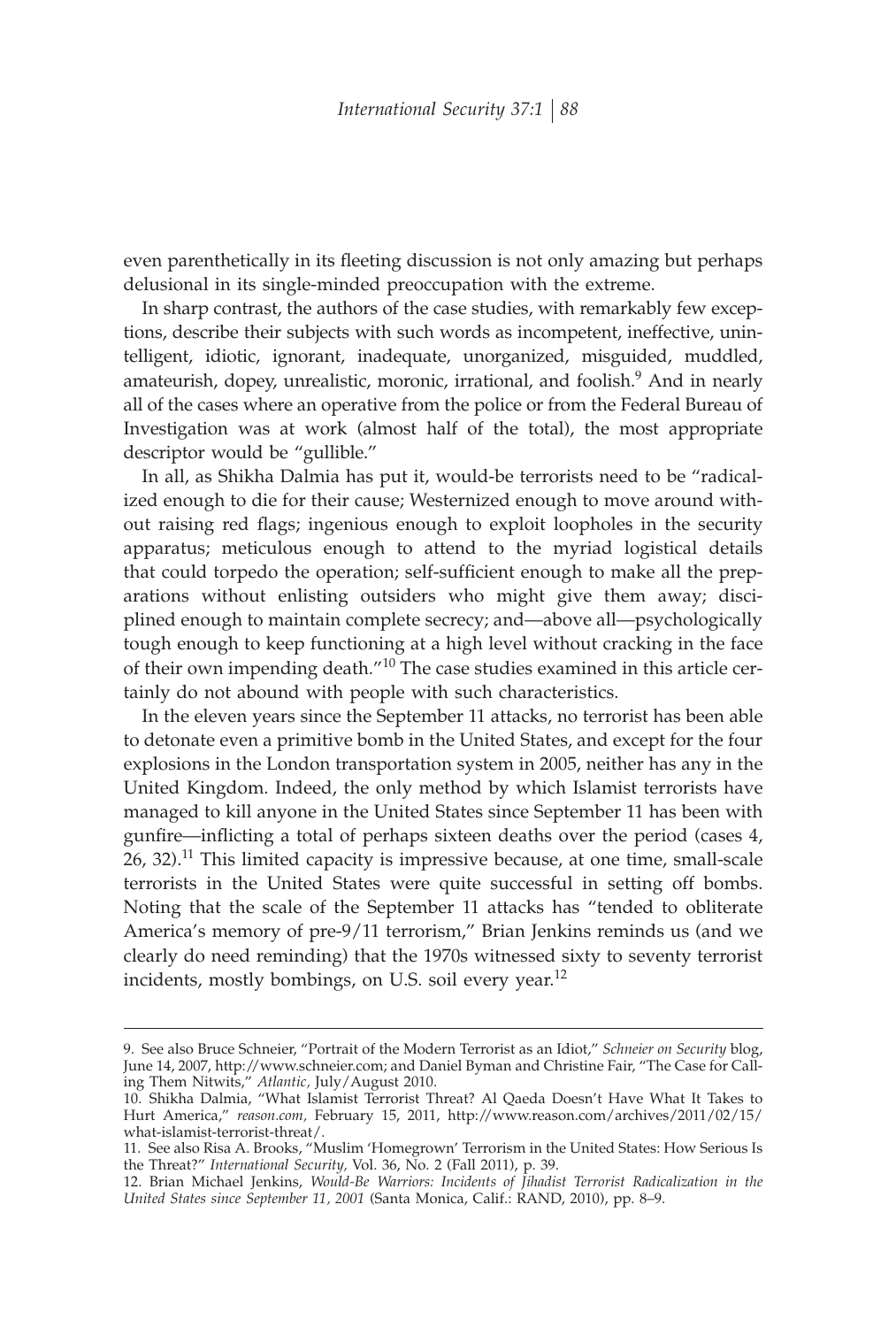even parenthetically in its fleeting discussion is not only amazing but perhaps delusional in its single-minded preoccupation with the extreme.

In sharp contrast, the authors of the case studies, with remarkably few exceptions, describe their subjects with such words as incompetent, ineffective, unintelligent, idiotic, ignorant, inadequate, unorganized, misguided, muddled, amateurish, dopey, unrealistic, moronic, irrational, and foolish.<sup>9</sup> And in nearly all of the cases where an operative from the police or from the Federal Bureau of Investigation was at work (almost half of the total), the most appropriate descriptor would be "gullible."

In all, as Shikha Dalmia has put it, would-be terrorists need to be "radicalized enough to die for their cause; Westernized enough to move around without raising red flags; ingenious enough to exploit loopholes in the security apparatus; meticulous enough to attend to the myriad logistical details that could torpedo the operation; self-sufficient enough to make all the preparations without enlisting outsiders who might give them away; disciplined enough to maintain complete secrecy; and—above all—psychologically tough enough to keep functioning at a high level without cracking in the face of their own impending death."<sup>10</sup> The case studies examined in this article certainly do not abound with people with such characteristics.

In the eleven years since the September 11 attacks, no terrorist has been able to detonate even a primitive bomb in the United States, and except for the four explosions in the London transportation system in 2005, neither has any in the United Kingdom. Indeed, the only method by which Islamist terrorists have managed to kill anyone in the United States since September 11 has been with gunfire—inflicting a total of perhaps sixteen deaths over the period (cases 4,  $26$ , 32).<sup>11</sup> This limited capacity is impressive because, at one time, small-scale terrorists in the United States were quite successful in setting off bombs. Noting that the scale of the September 11 attacks has "tended to obliterate America's memory of pre-9/11 terrorism," Brian Jenkins reminds us (and we clearly do need reminding) that the 1970s witnessed sixty to seventy terrorist incidents, mostly bombings, on U.S. soil every year.<sup>12</sup>

<sup>9.</sup> See also Bruce Schneier, "Portrait of the Modern Terrorist as an Idiot," *Schneier on Security* blog, June 14, 2007, http://www.schneier.com; and Daniel Byman and Christine Fair, "The Case for Calling Them Nitwits," *Atlantic,* July/August 2010.

<sup>10.</sup> Shikha Dalmia, "What Islamist Terrorist Threat? Al Qaeda Doesn't Have What It Takes to Hurt America," *reason.com,* February 15, 2011, http://www.reason.com/archives/2011/02/15/ what-islamist-terrorist-threat/.

<sup>11.</sup> See also Risa A. Brooks, "Muslim 'Homegrown' Terrorism in the United States: How Serious Is the Threat?" *International Security,* Vol. 36, No. 2 (Fall 2011), p. 39.

<sup>12.</sup> Brian Michael Jenkins, *Would-Be Warriors: Incidents of Jihadist Terrorist Radicalization in the United States since September 11, 2001* (Santa Monica, Calif.: RAND, 2010), pp. 8–9.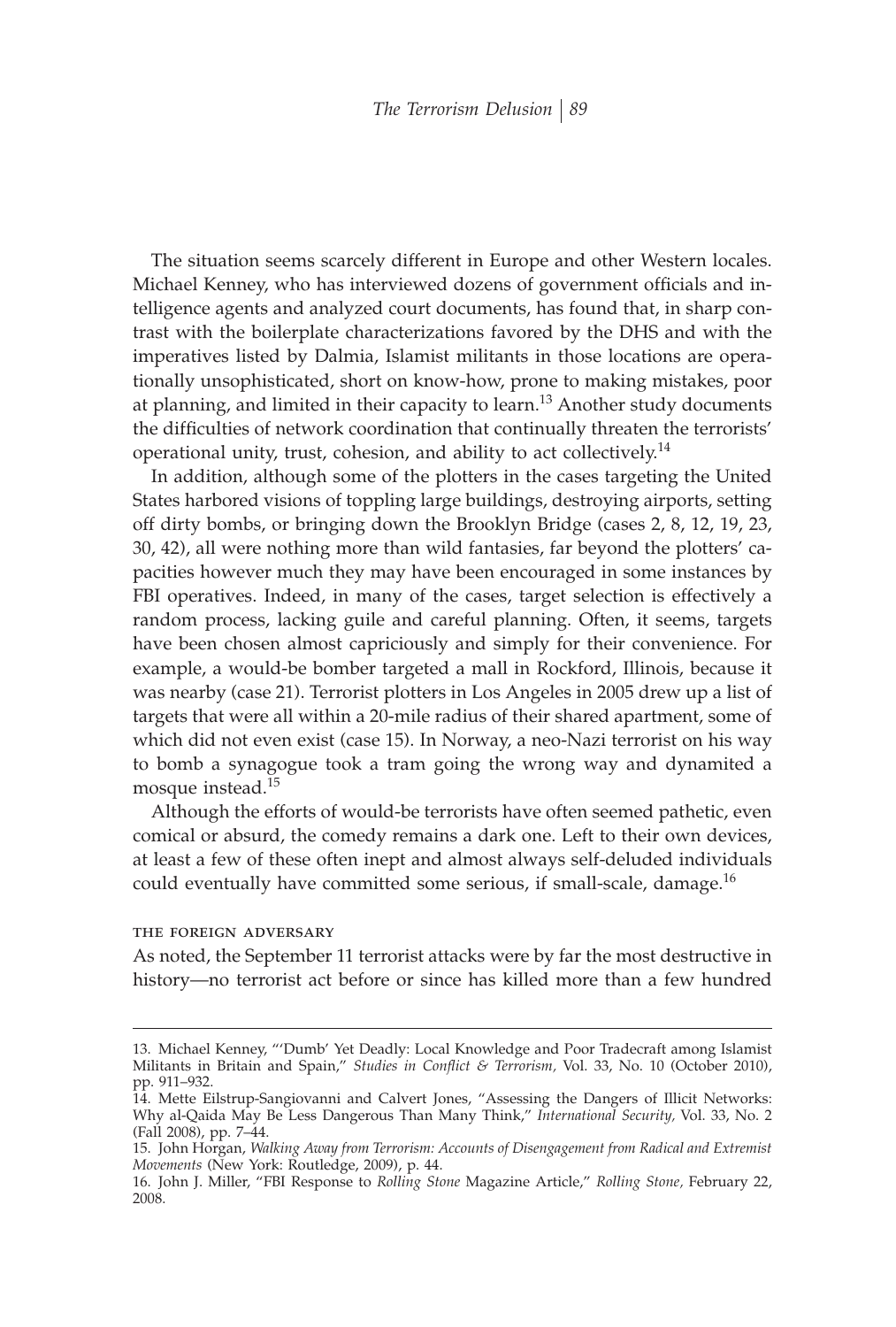The situation seems scarcely different in Europe and other Western locales. Michael Kenney, who has interviewed dozens of government officials and intelligence agents and analyzed court documents, has found that, in sharp contrast with the boilerplate characterizations favored by the DHS and with the imperatives listed by Dalmia, Islamist militants in those locations are operationally unsophisticated, short on know-how, prone to making mistakes, poor at planning, and limited in their capacity to learn.<sup>13</sup> Another study documents the difficulties of network coordination that continually threaten the terrorists' operational unity, trust, cohesion, and ability to act collectively.<sup>14</sup>

In addition, although some of the plotters in the cases targeting the United States harbored visions of toppling large buildings, destroying airports, setting off dirty bombs, or bringing down the Brooklyn Bridge (cases 2, 8, 12, 19, 23, 30, 42), all were nothing more than wild fantasies, far beyond the plotters' capacities however much they may have been encouraged in some instances by FBI operatives. Indeed, in many of the cases, target selection is effectively a random process, lacking guile and careful planning. Often, it seems, targets have been chosen almost capriciously and simply for their convenience. For example, a would-be bomber targeted a mall in Rockford, Illinois, because it was nearby (case 21). Terrorist plotters in Los Angeles in 2005 drew up a list of targets that were all within a 20-mile radius of their shared apartment, some of which did not even exist (case 15). In Norway, a neo-Nazi terrorist on his way to bomb a synagogue took a tram going the wrong way and dynamited a mosque instead.<sup>15</sup>

Although the efforts of would-be terrorists have often seemed pathetic, even comical or absurd, the comedy remains a dark one. Left to their own devices, at least a few of these often inept and almost always self-deluded individuals could eventually have committed some serious, if small-scale, damage.<sup>16</sup>

## the foreign adversary

As noted, the September 11 terrorist attacks were by far the most destructive in history—no terrorist act before or since has killed more than a few hundred

<sup>13.</sup> Michael Kenney, "'Dumb' Yet Deadly: Local Knowledge and Poor Tradecraft among Islamist Militants in Britain and Spain," *Studies in Conflict & Terrorism*, Vol. 33, No. 10 (October 2010), pp. 911–932.

<sup>14.</sup> Mette Eilstrup-Sangiovanni and Calvert Jones, "Assessing the Dangers of Illicit Networks: Why al-Qaida May Be Less Dangerous Than Many Think," *International Security,* Vol. 33, No. 2 (Fall 2008), pp. 7–44.

<sup>15.</sup> John Horgan, *Walking Away from Terrorism: Accounts of Disengagement from Radical and Extremist Movements* (New York: Routledge, 2009), p. 44.

<sup>16.</sup> John J. Miller, "FBI Response to *Rolling Stone* Magazine Article," *Rolling Stone,* February 22, 2008.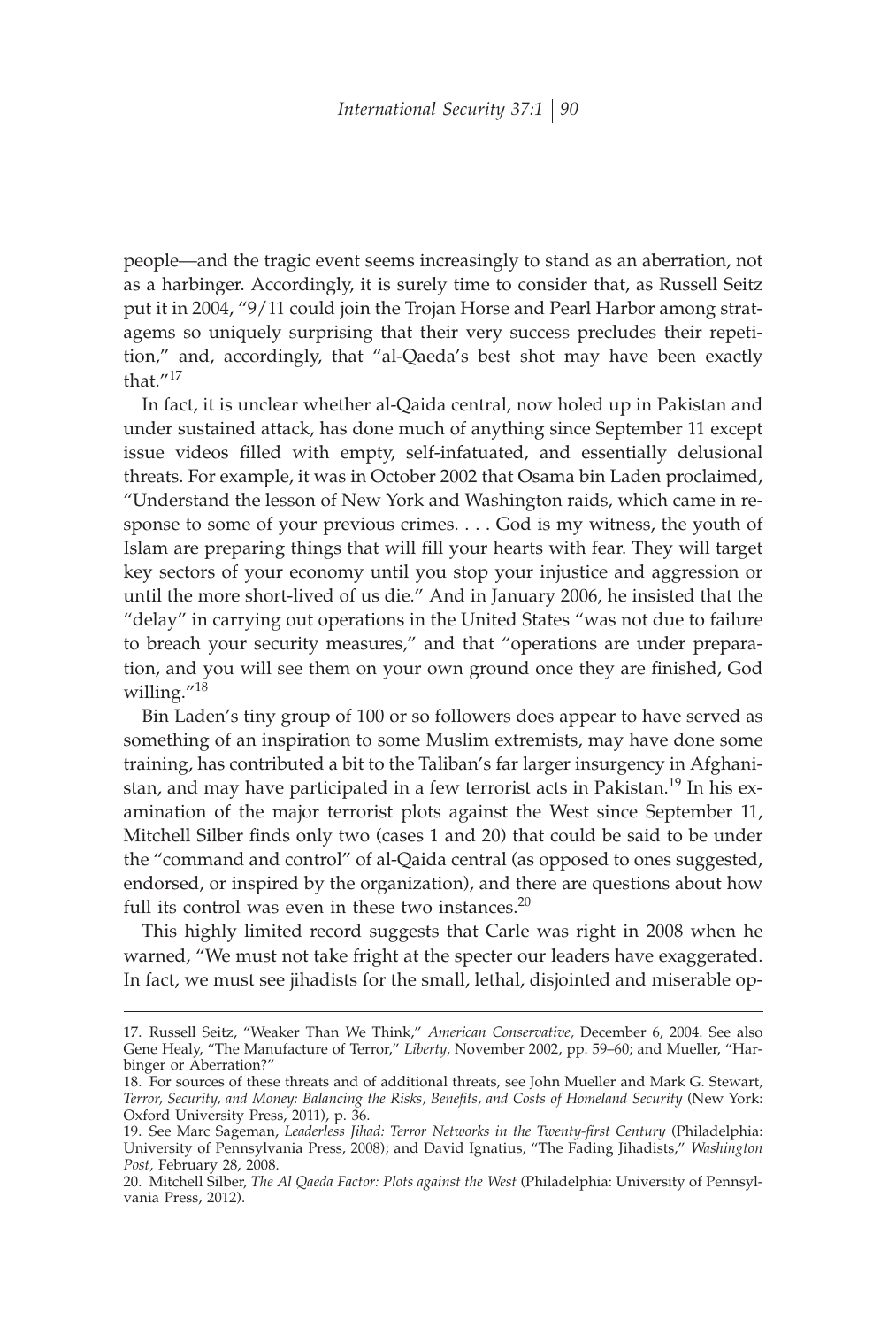people—and the tragic event seems increasingly to stand as an aberration, not as a harbinger. Accordingly, it is surely time to consider that, as Russell Seitz put it in 2004, "9/11 could join the Trojan Horse and Pearl Harbor among stratagems so uniquely surprising that their very success precludes their repetition," and, accordingly, that "al-Qaeda's best shot may have been exactly that."<sup>17</sup>

In fact, it is unclear whether al-Qaida central, now holed up in Pakistan and under sustained attack, has done much of anything since September 11 except issue videos filled with empty, self-infatuated, and essentially delusional threats. For example, it was in October 2002 that Osama bin Laden proclaimed, "Understand the lesson of New York and Washington raids, which came in response to some of your previous crimes. . . . God is my witness, the youth of Islam are preparing things that will fill your hearts with fear. They will target key sectors of your economy until you stop your injustice and aggression or until the more short-lived of us die." And in January 2006, he insisted that the "delay" in carrying out operations in the United States "was not due to failure to breach your security measures," and that "operations are under preparation, and you will see them on your own ground once they are finished, God willing."<sup>18</sup>

Bin Laden's tiny group of 100 or so followers does appear to have served as something of an inspiration to some Muslim extremists, may have done some training, has contributed a bit to the Taliban's far larger insurgency in Afghanistan, and may have participated in a few terrorist acts in Pakistan.<sup>19</sup> In his examination of the major terrorist plots against the West since September 11, Mitchell Silber finds only two (cases 1 and 20) that could be said to be under the "command and control" of al-Qaida central (as opposed to ones suggested, endorsed, or inspired by the organization), and there are questions about how full its control was even in these two instances. $20$ 

This highly limited record suggests that Carle was right in 2008 when he warned, "We must not take fright at the specter our leaders have exaggerated. In fact, we must see jihadists for the small, lethal, disjointed and miserable op-

<sup>17.</sup> Russell Seitz, "Weaker Than We Think," *American Conservative,* December 6, 2004. See also Gene Healy, "The Manufacture of Terror," *Liberty,* November 2002, pp. 59–60; and Mueller, "Harbinger or Aberration?"

<sup>18.</sup> For sources of these threats and of additional threats, see John Mueller and Mark G. Stewart, *Terror, Security, and Money: Balancing the Risks, Benefits, and Costs of Homeland Security* (New York: Oxford University Press, 2011), p. 36.

<sup>19.</sup> See Marc Sageman, *Leaderless Jihad: Terror Networks in the Twenty-first Century* (Philadelphia: University of Pennsylvania Press, 2008); and David Ignatius, "The Fading Jihadists," *Washington Post,* February 28, 2008.

<sup>20.</sup> Mitchell Silber, *The Al Qaeda Factor: Plots against the West* (Philadelphia: University of Pennsylvania Press, 2012).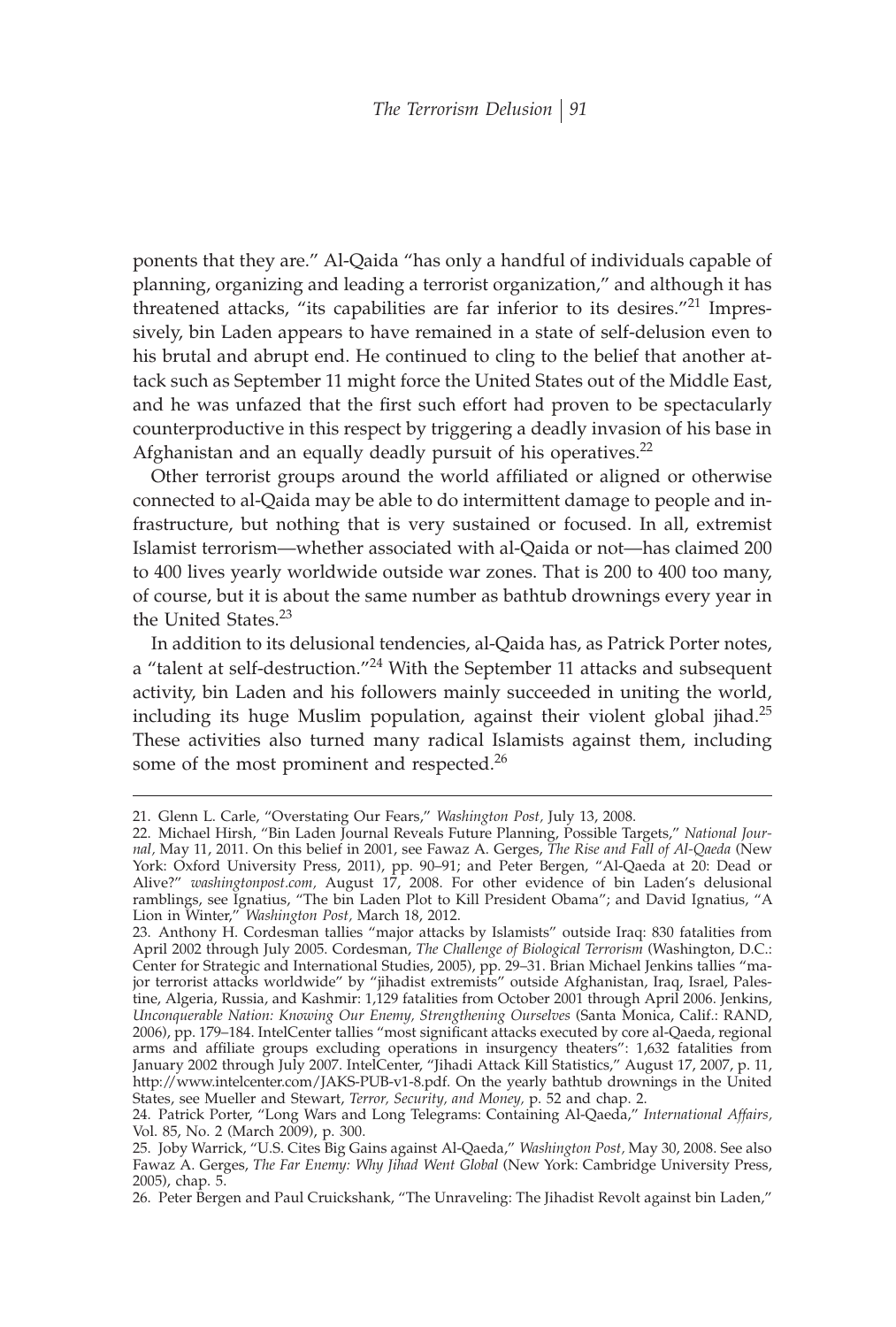ponents that they are." Al-Qaida "has only a handful of individuals capable of planning, organizing and leading a terrorist organization," and although it has threatened attacks, "its capabilities are far inferior to its desires."<sup>21</sup> Impressively, bin Laden appears to have remained in a state of self-delusion even to his brutal and abrupt end. He continued to cling to the belief that another attack such as September 11 might force the United States out of the Middle East, and he was unfazed that the first such effort had proven to be spectacularly counterproductive in this respect by triggering a deadly invasion of his base in Afghanistan and an equally deadly pursuit of his operatives.<sup>22</sup>

Other terrorist groups around the world affiliated or aligned or otherwise connected to al-Qaida may be able to do intermittent damage to people and infrastructure, but nothing that is very sustained or focused. In all, extremist Islamist terrorism—whether associated with al-Qaida or not—has claimed 200 to 400 lives yearly worldwide outside war zones. That is 200 to 400 too many, of course, but it is about the same number as bathtub drownings every year in the United States.<sup>23</sup>

In addition to its delusional tendencies, al-Qaida has, as Patrick Porter notes, a "talent at self-destruction."<sup>24</sup> With the September 11 attacks and subsequent activity, bin Laden and his followers mainly succeeded in uniting the world, including its huge Muslim population, against their violent global jihad. $25$ These activities also turned many radical Islamists against them, including some of the most prominent and respected.<sup>26</sup>

<sup>21.</sup> Glenn L. Carle, "Overstating Our Fears," *Washington Post,* July 13, 2008.

<sup>22.</sup> Michael Hirsh, "Bin Laden Journal Reveals Future Planning, Possible Targets," *National Journal,* May 11, 2011. On this belief in 2001, see Fawaz A. Gerges, *The Rise and Fall of Al-Qaeda* (New York: Oxford University Press, 2011), pp. 90–91; and Peter Bergen, "Al-Qaeda at 20: Dead or Alive?" *washingtonpost.com,* August 17, 2008. For other evidence of bin Laden's delusional ramblings, see Ignatius, "The bin Laden Plot to Kill President Obama"; and David Ignatius, "A Lion in Winter," *Washington Post,* March 18, 2012.

<sup>23.</sup> Anthony H. Cordesman tallies "major attacks by Islamists" outside Iraq: 830 fatalities from April 2002 through July 2005. Cordesman, *The Challenge of Biological Terrorism* (Washington, D.C.: Center for Strategic and International Studies, 2005), pp. 29–31. Brian Michael Jenkins tallies "major terrorist attacks worldwide" by "jihadist extremists" outside Afghanistan, Iraq, Israel, Palestine, Algeria, Russia, and Kashmir: 1,129 fatalities from October 2001 through April 2006. Jenkins, *Unconquerable Nation: Knowing Our Enemy, Strengthening Ourselves* (Santa Monica, Calif.: RAND, 2006), pp. 179–184. IntelCenter tallies "most significant attacks executed by core al-Qaeda, regional arms and affiliate groups excluding operations in insurgency theaters": 1,632 fatalities from January 2002 through July 2007. IntelCenter, "Jihadi Attack Kill Statistics," August 17, 2007, p. 11, http://www.intelcenter.com/JAKS-PUB-v1-8.pdf. On the yearly bathtub drownings in the United States, see Mueller and Stewart, *Terror, Security, and Money,* p. 52 and chap. 2.

<sup>24.</sup> Patrick Porter, "Long Wars and Long Telegrams: Containing Al-Qaeda," *International Affairs,* Vol. 85, No. 2 (March 2009), p. 300.

<sup>25.</sup> Joby Warrick, "U.S. Cites Big Gains against Al-Qaeda," *Washington Post,* May 30, 2008. See also Fawaz A. Gerges, *The Far Enemy: Why Jihad Went Global* (New York: Cambridge University Press, 2005), chap. 5.

<sup>26.</sup> Peter Bergen and Paul Cruickshank, "The Unraveling: The Jihadist Revolt against bin Laden,"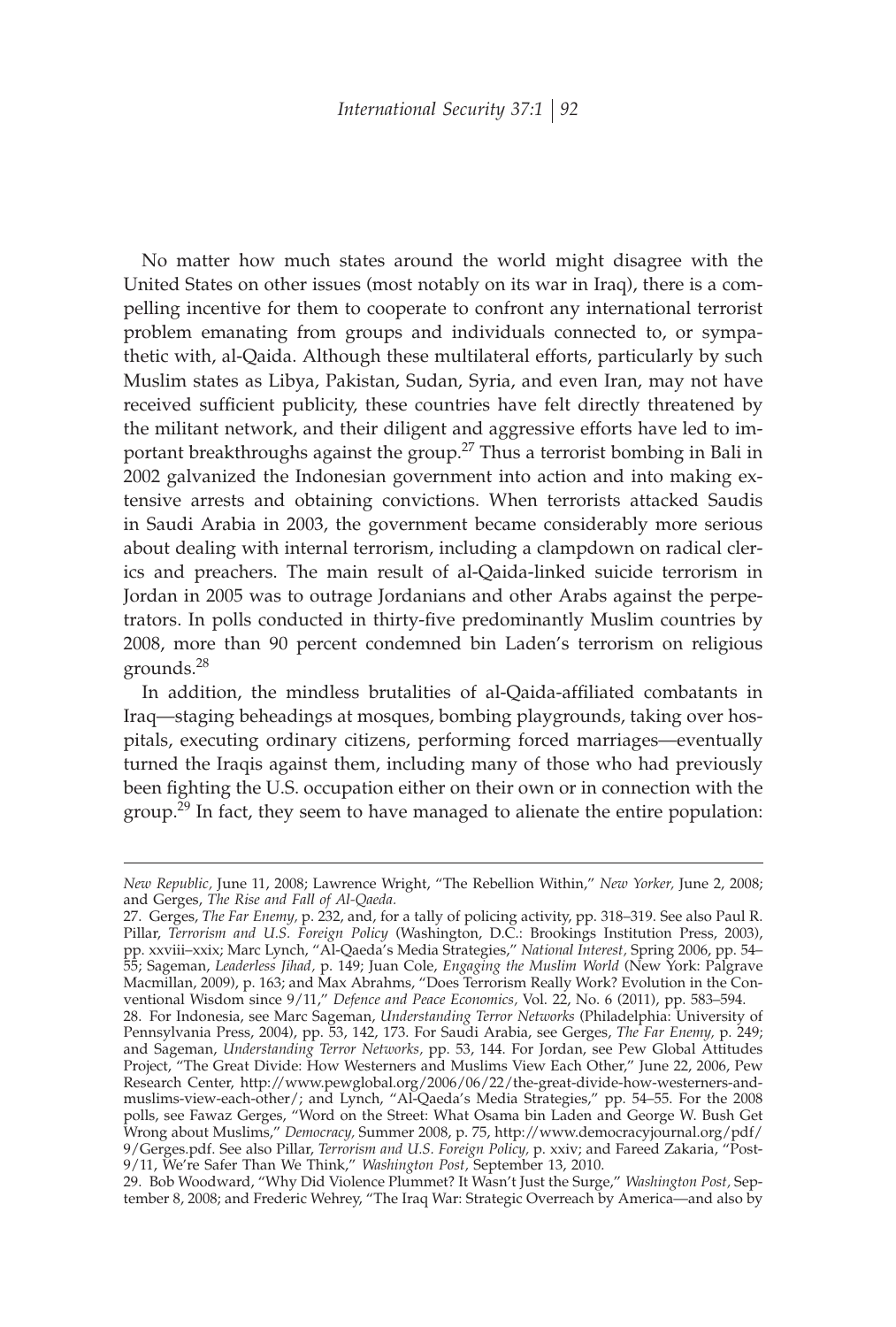No matter how much states around the world might disagree with the United States on other issues (most notably on its war in Iraq), there is a compelling incentive for them to cooperate to confront any international terrorist problem emanating from groups and individuals connected to, or sympathetic with, al-Qaida. Although these multilateral efforts, particularly by such Muslim states as Libya, Pakistan, Sudan, Syria, and even Iran, may not have received sufficient publicity, these countries have felt directly threatened by the militant network, and their diligent and aggressive efforts have led to important breakthroughs against the group.<sup>27</sup> Thus a terrorist bombing in Bali in 2002 galvanized the Indonesian government into action and into making extensive arrests and obtaining convictions. When terrorists attacked Saudis in Saudi Arabia in 2003, the government became considerably more serious about dealing with internal terrorism, including a clampdown on radical clerics and preachers. The main result of al-Qaida-linked suicide terrorism in Jordan in 2005 was to outrage Jordanians and other Arabs against the perpetrators. In polls conducted in thirty-five predominantly Muslim countries by 2008, more than 90 percent condemned bin Laden's terrorism on religious grounds.<sup>28</sup>

In addition, the mindless brutalities of al-Qaida-affiliated combatants in Iraq—staging beheadings at mosques, bombing playgrounds, taking over hospitals, executing ordinary citizens, performing forced marriages—eventually turned the Iraqis against them, including many of those who had previously been fighting the U.S. occupation either on their own or in connection with the group.<sup>29</sup> In fact, they seem to have managed to alienate the entire population:

*New Republic,* June 11, 2008; Lawrence Wright, "The Rebellion Within," *New Yorker,* June 2, 2008; and Gerges, *The Rise and Fall of Al-Qaeda.*

<sup>27.</sup> Gerges, *The Far Enemy,* p. 232, and, for a tally of policing activity, pp. 318–319. See also Paul R. Pillar, *Terrorism and U.S. Foreign Policy* (Washington, D.C.: Brookings Institution Press, 2003), pp. xxviii–xxix; Marc Lynch, "Al-Qaeda's Media Strategies," *National Interest,* Spring 2006, pp. 54– 55; Sageman, *Leaderless Jihad,* p. 149; Juan Cole, *Engaging the Muslim World* (New York: Palgrave Macmillan, 2009), p. 163; and Max Abrahms, "Does Terrorism Really Work? Evolution in the Conventional Wisdom since 9/11," *Defence and Peace Economics,* Vol. 22, No. 6 (2011), pp. 583–594.

<sup>28.</sup> For Indonesia, see Marc Sageman, *Understanding Terror Networks* (Philadelphia: University of Pennsylvania Press, 2004), pp. 53, 142, 173. For Saudi Arabia, see Gerges, *The Far Enemy,* p. 249; and Sageman, *Understanding Terror Networks,* pp. 53, 144. For Jordan, see Pew Global Attitudes Project, "The Great Divide: How Westerners and Muslims View Each Other," June 22, 2006, Pew Research Center, http://www.pewglobal.org/2006/06/22/the-great-divide-how-westerners-andmuslims-view-each-other/; and Lynch, "Al-Qaeda's Media Strategies," pp. 54–55. For the 2008 polls, see Fawaz Gerges, "Word on the Street: What Osama bin Laden and George W. Bush Get Wrong about Muslims," *Democracy,* Summer 2008, p. 75, http://www.democracyjournal.org/pdf/ 9/Gerges.pdf. See also Pillar, *Terrorism and U.S. Foreign Policy,* p. xxiv; and Fareed Zakaria, "Post-9/11, We're Safer Than We Think," *Washington Post,* September 13, 2010.

<sup>29.</sup> Bob Woodward, "Why Did Violence Plummet? It Wasn't Just the Surge," *Washington Post,* September 8, 2008; and Frederic Wehrey, "The Iraq War: Strategic Overreach by America—and also by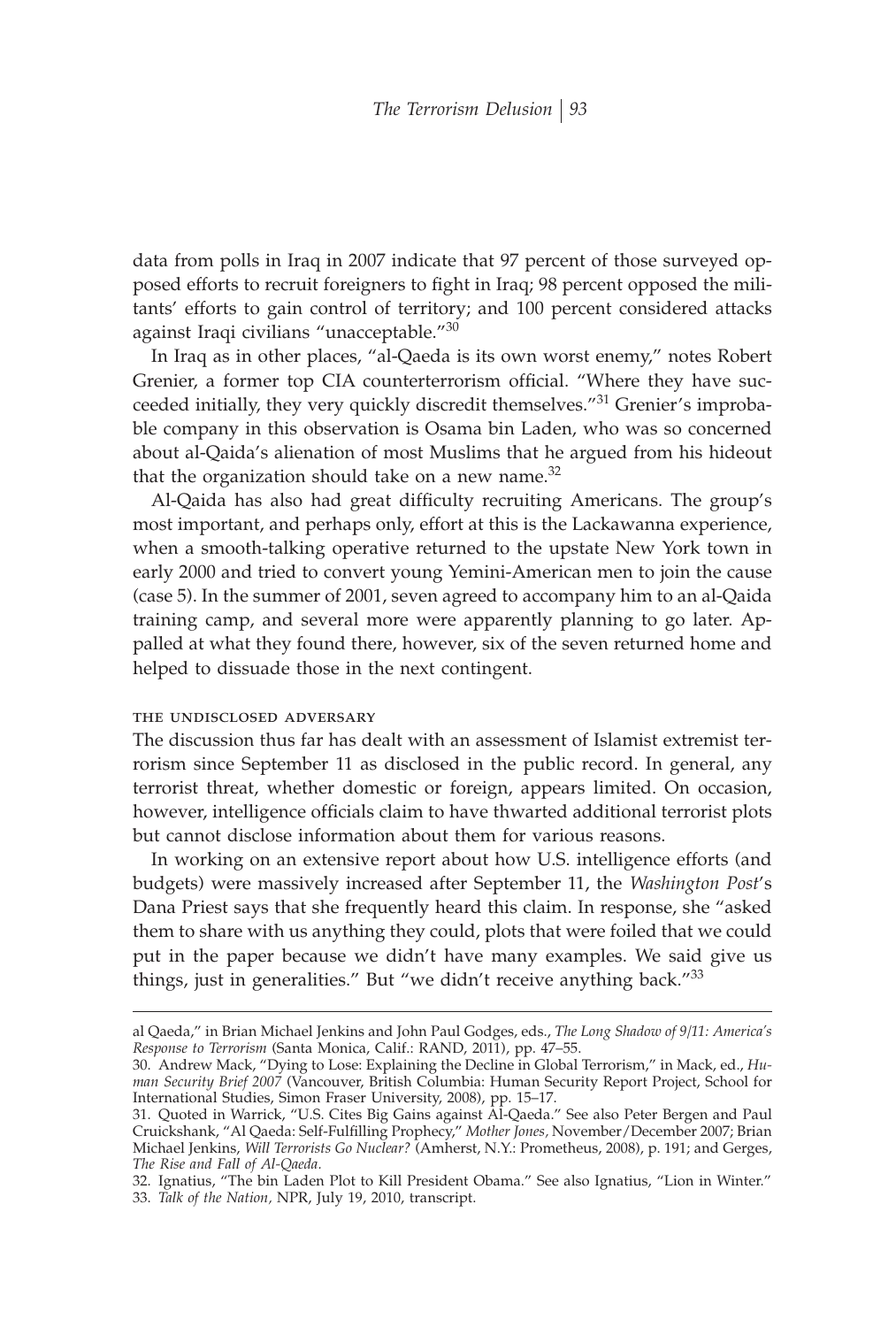data from polls in Iraq in 2007 indicate that 97 percent of those surveyed opposed efforts to recruit foreigners to fight in Iraq; 98 percent opposed the militants' efforts to gain control of territory; and 100 percent considered attacks against Iraqi civilians "unacceptable."<sup>30</sup>

In Iraq as in other places, "al-Qaeda is its own worst enemy," notes Robert Grenier, a former top CIA counterterrorism official. "Where they have succeeded initially, they very quickly discredit themselves."<sup>31</sup> Grenier's improbable company in this observation is Osama bin Laden, who was so concerned about al-Qaida's alienation of most Muslims that he argued from his hideout that the organization should take on a new name. $32$ 

Al-Qaida has also had great difficulty recruiting Americans. The group's most important, and perhaps only, effort at this is the Lackawanna experience, when a smooth-talking operative returned to the upstate New York town in early 2000 and tried to convert young Yemini-American men to join the cause (case 5). In the summer of 2001, seven agreed to accompany him to an al-Qaida training camp, and several more were apparently planning to go later. Appalled at what they found there, however, six of the seven returned home and helped to dissuade those in the next contingent.

## the undisclosed adversary

The discussion thus far has dealt with an assessment of Islamist extremist terrorism since September 11 as disclosed in the public record. In general, any terrorist threat, whether domestic or foreign, appears limited. On occasion, however, intelligence officials claim to have thwarted additional terrorist plots but cannot disclose information about them for various reasons.

In working on an extensive report about how U.S. intelligence efforts (and budgets) were massively increased after September 11, the *Washington Post*'s Dana Priest says that she frequently heard this claim. In response, she "asked them to share with us anything they could, plots that were foiled that we could put in the paper because we didn't have many examples. We said give us things, just in generalities." But "we didn't receive anything back."<sup>33</sup>

al Qaeda," in Brian Michael Jenkins and John Paul Godges, eds., *The Long Shadow of 9/11: America's Response to Terrorism* (Santa Monica, Calif.: RAND, 2011), pp. 47–55.

<sup>30.</sup> Andrew Mack, "Dying to Lose: Explaining the Decline in Global Terrorism," in Mack, ed., *Human Security Brief 2007* (Vancouver, British Columbia: Human Security Report Project, School for International Studies, Simon Fraser University, 2008), pp. 15–17.

<sup>31.</sup> Quoted in Warrick, "U.S. Cites Big Gains against Al-Qaeda." See also Peter Bergen and Paul Cruickshank, "Al Qaeda: Self-Fulªlling Prophecy," *Mother Jones,* November/December 2007; Brian Michael Jenkins, *Will Terrorists Go Nuclear?* (Amherst, N.Y.: Prometheus, 2008), p. 191; and Gerges, *The Rise and Fall of Al-Qaeda.*

<sup>32.</sup> Ignatius, "The bin Laden Plot to Kill President Obama." See also Ignatius, "Lion in Winter." 33. *Talk of the Nation,* NPR, July 19, 2010, transcript.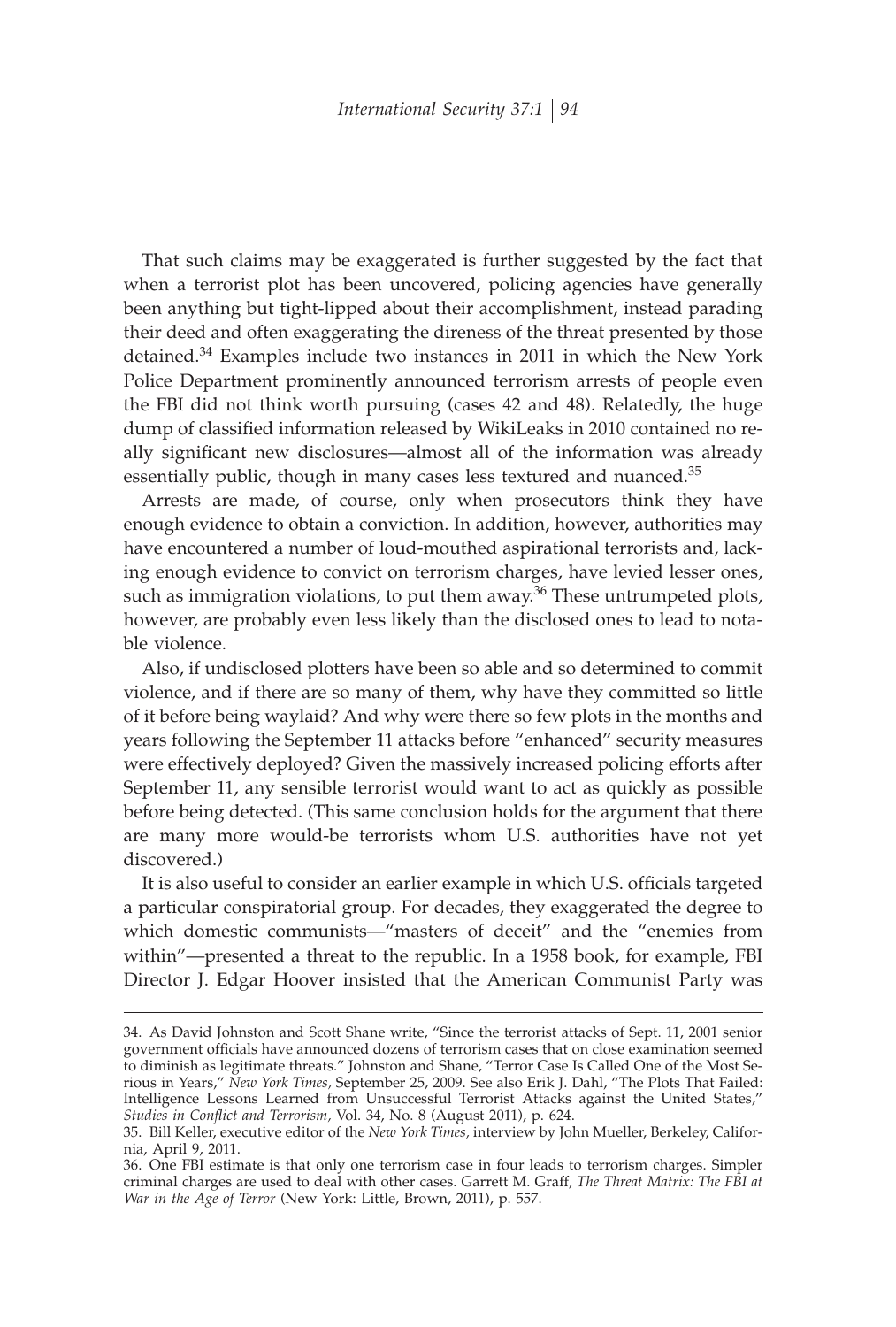That such claims may be exaggerated is further suggested by the fact that when a terrorist plot has been uncovered, policing agencies have generally been anything but tight-lipped about their accomplishment, instead parading their deed and often exaggerating the direness of the threat presented by those detained.<sup>34</sup> Examples include two instances in 2011 in which the New York Police Department prominently announced terrorism arrests of people even the FBI did not think worth pursuing (cases 42 and 48). Relatedly, the huge dump of classified information released by WikiLeaks in 2010 contained no really significant new disclosures—almost all of the information was already essentially public, though in many cases less textured and nuanced.<sup>35</sup>

Arrests are made, of course, only when prosecutors think they have enough evidence to obtain a conviction. In addition, however, authorities may have encountered a number of loud-mouthed aspirational terrorists and, lacking enough evidence to convict on terrorism charges, have levied lesser ones, such as immigration violations, to put them  $a_{\text{way}}^{36}$  These untrumpeted plots, however, are probably even less likely than the disclosed ones to lead to notable violence.

Also, if undisclosed plotters have been so able and so determined to commit violence, and if there are so many of them, why have they committed so little of it before being waylaid? And why were there so few plots in the months and years following the September 11 attacks before "enhanced" security measures were effectively deployed? Given the massively increased policing efforts after September 11, any sensible terrorist would want to act as quickly as possible before being detected. (This same conclusion holds for the argument that there are many more would-be terrorists whom U.S. authorities have not yet discovered.)

It is also useful to consider an earlier example in which U.S. officials targeted a particular conspiratorial group. For decades, they exaggerated the degree to which domestic communists—"masters of deceit" and the "enemies from within"—presented a threat to the republic. In a 1958 book, for example, FBI Director J. Edgar Hoover insisted that the American Communist Party was

<sup>34.</sup> As David Johnston and Scott Shane write, "Since the terrorist attacks of Sept. 11, 2001 senior government officials have announced dozens of terrorism cases that on close examination seemed to diminish as legitimate threats." Johnston and Shane, "Terror Case Is Called One of the Most Serious in Years," *New York Times,* September 25, 2009. See also Erik J. Dahl, "The Plots That Failed: Intelligence Lessons Learned from Unsuccessful Terrorist Attacks against the United States," *Studies in Conflict and Terrorism, Vol. 34, No. 8 (August 2011), p. 624.* 

<sup>35.</sup> Bill Keller, executive editor of the *New York Times,* interview by John Mueller, Berkeley, California, April 9, 2011.

<sup>36.</sup> One FBI estimate is that only one terrorism case in four leads to terrorism charges. Simpler criminal charges are used to deal with other cases. Garrett M. Graff, *The Threat Matrix: The FBI at War in the Age of Terror* (New York: Little, Brown, 2011), p. 557.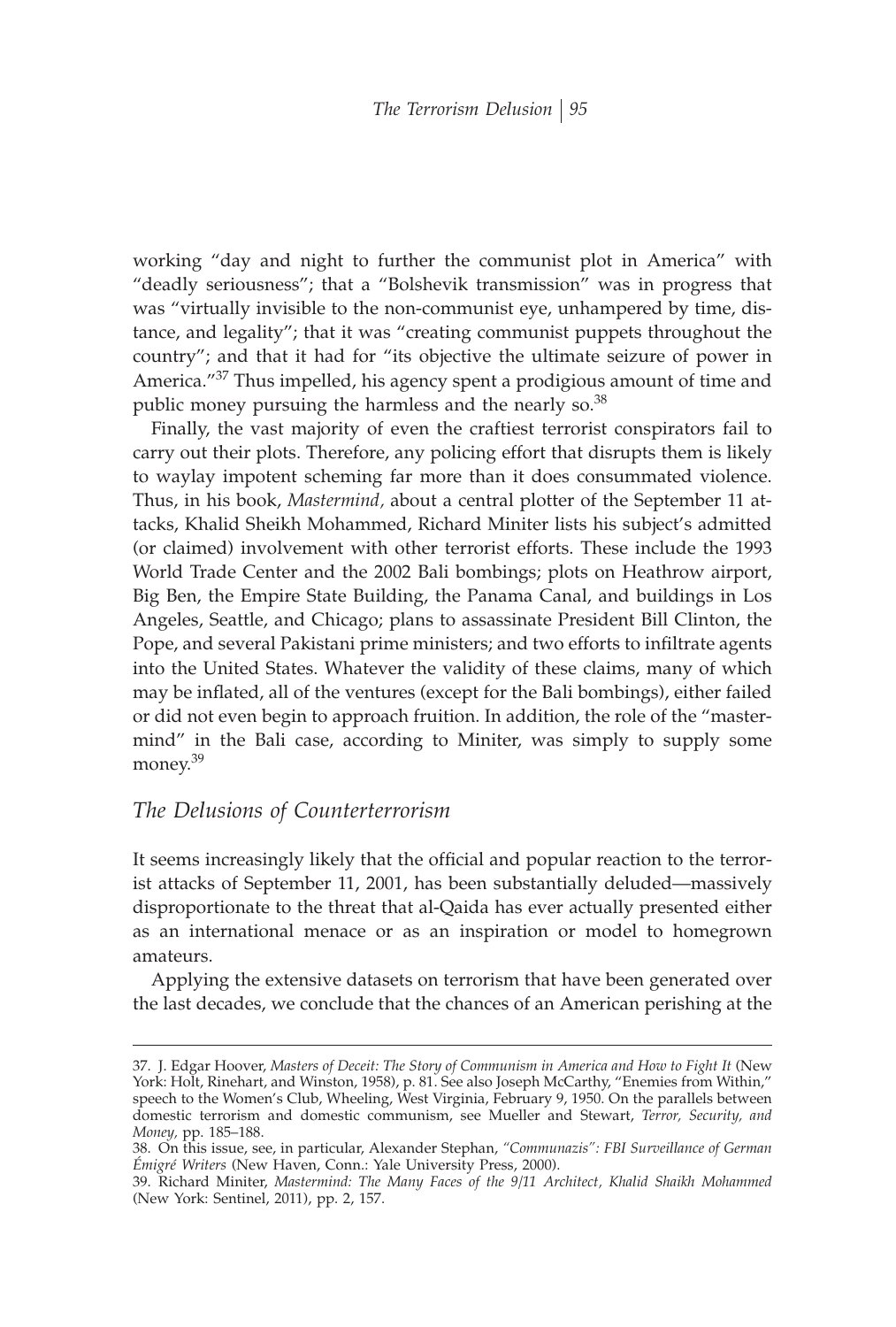working "day and night to further the communist plot in America" with "deadly seriousness"; that a "Bolshevik transmission" was in progress that was "virtually invisible to the non-communist eye, unhampered by time, distance, and legality"; that it was "creating communist puppets throughout the country"; and that it had for "its objective the ultimate seizure of power in America."<sup>37</sup> Thus impelled, his agency spent a prodigious amount of time and public money pursuing the harmless and the nearly so. $38$ 

Finally, the vast majority of even the craftiest terrorist conspirators fail to carry out their plots. Therefore, any policing effort that disrupts them is likely to waylay impotent scheming far more than it does consummated violence. Thus, in his book, *Mastermind,* about a central plotter of the September 11 attacks, Khalid Sheikh Mohammed, Richard Miniter lists his subject's admitted (or claimed) involvement with other terrorist efforts. These include the 1993 World Trade Center and the 2002 Bali bombings; plots on Heathrow airport, Big Ben, the Empire State Building, the Panama Canal, and buildings in Los Angeles, Seattle, and Chicago; plans to assassinate President Bill Clinton, the Pope, and several Pakistani prime ministers; and two efforts to infiltrate agents into the United States. Whatever the validity of these claims, many of which may be inflated, all of the ventures (except for the Bali bombings), either failed or did not even begin to approach fruition. In addition, the role of the "mastermind" in the Bali case, according to Miniter, was simply to supply some money.<sup>39</sup>

## *The Delusions of Counterterrorism*

It seems increasingly likely that the official and popular reaction to the terrorist attacks of September 11, 2001, has been substantially deluded—massively disproportionate to the threat that al-Qaida has ever actually presented either as an international menace or as an inspiration or model to homegrown amateurs.

Applying the extensive datasets on terrorism that have been generated over the last decades, we conclude that the chances of an American perishing at the

<sup>37.</sup> J. Edgar Hoover, *Masters of Deceit: The Story of Communism in America and How to Fight It* (New York: Holt, Rinehart, and Winston, 1958), p. 81. See also Joseph McCarthy, "Enemies from Within," speech to the Women's Club, Wheeling, West Virginia, February 9, 1950. On the parallels between domestic terrorism and domestic communism, see Mueller and Stewart, *Terror, Security, and Money,* pp. 185–188.

<sup>38.</sup> On this issue, see, in particular, Alexander Stephan, *"Communazis": FBI Surveillance of German Émigré Writers* (New Haven, Conn.: Yale University Press, 2000).

<sup>39.</sup> Richard Miniter, *Mastermind: The Many Faces of the 9/11 Architect, Khalid Shaikh Mohammed* (New York: Sentinel, 2011), pp. 2, 157.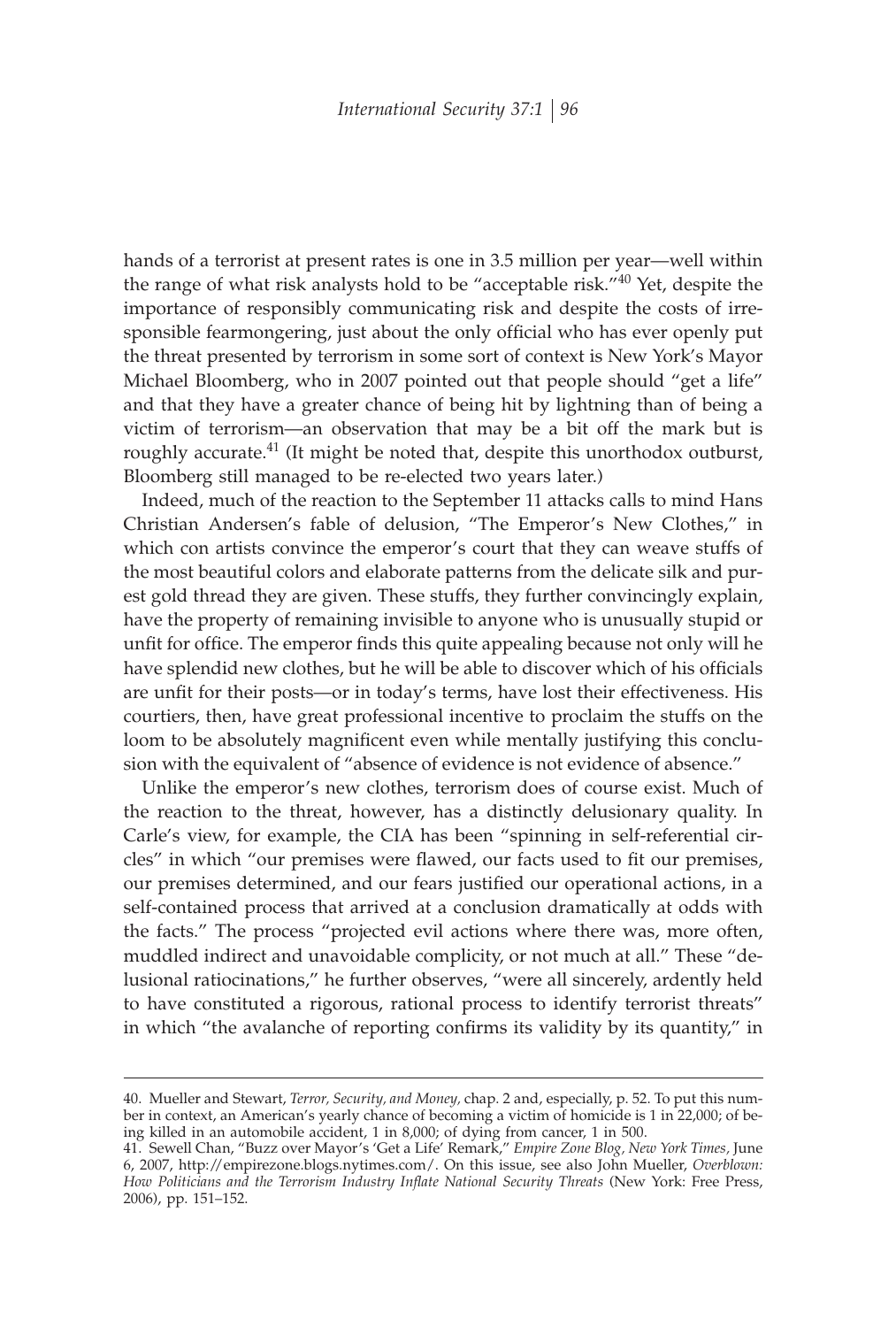hands of a terrorist at present rates is one in 3.5 million per year—well within the range of what risk analysts hold to be "acceptable risk."<sup>40</sup> Yet, despite the importance of responsibly communicating risk and despite the costs of irresponsible fearmongering, just about the only official who has ever openly put the threat presented by terrorism in some sort of context is New York's Mayor Michael Bloomberg, who in 2007 pointed out that people should "get a life" and that they have a greater chance of being hit by lightning than of being a victim of terrorism—an observation that may be a bit off the mark but is roughly accurate.<sup>41</sup> (It might be noted that, despite this unorthodox outburst, Bloomberg still managed to be re-elected two years later.)

Indeed, much of the reaction to the September 11 attacks calls to mind Hans Christian Andersen's fable of delusion, "The Emperor's New Clothes," in which con artists convince the emperor's court that they can weave stuffs of the most beautiful colors and elaborate patterns from the delicate silk and purest gold thread they are given. These stuffs, they further convincingly explain, have the property of remaining invisible to anyone who is unusually stupid or unfit for office. The emperor finds this quite appealing because not only will he have splendid new clothes, but he will be able to discover which of his officials are unfit for their posts—or in today's terms, have lost their effectiveness. His courtiers, then, have great professional incentive to proclaim the stuffs on the loom to be absolutely magnificent even while mentally justifying this conclusion with the equivalent of "absence of evidence is not evidence of absence."

Unlike the emperor's new clothes, terrorism does of course exist. Much of the reaction to the threat, however, has a distinctly delusionary quality. In Carle's view, for example, the CIA has been "spinning in self-referential circles" in which "our premises were flawed, our facts used to fit our premises, our premises determined, and our fears justified our operational actions, in a self-contained process that arrived at a conclusion dramatically at odds with the facts." The process "projected evil actions where there was, more often, muddled indirect and unavoidable complicity, or not much at all." These "delusional ratiocinations," he further observes, "were all sincerely, ardently held to have constituted a rigorous, rational process to identify terrorist threats" in which "the avalanche of reporting confirms its validity by its quantity," in

<sup>40.</sup> Mueller and Stewart, *Terror, Security, and Money,* chap. 2 and, especially, p. 52. To put this number in context, an American's yearly chance of becoming a victim of homicide is 1 in 22,000; of being killed in an automobile accident, 1 in 8,000; of dying from cancer, 1 in 500.

<sup>41.</sup> Sewell Chan, "Buzz over Mayor's 'Get a Life' Remark," *Empire Zone Blog, New York Times,* June 6, 2007, http://empirezone.blogs.nytimes.com/. On this issue, see also John Mueller, *Overblown:* How Politicians and the Terrorism Industry Inflate National Security Threats (New York: Free Press, 2006), pp. 151–152.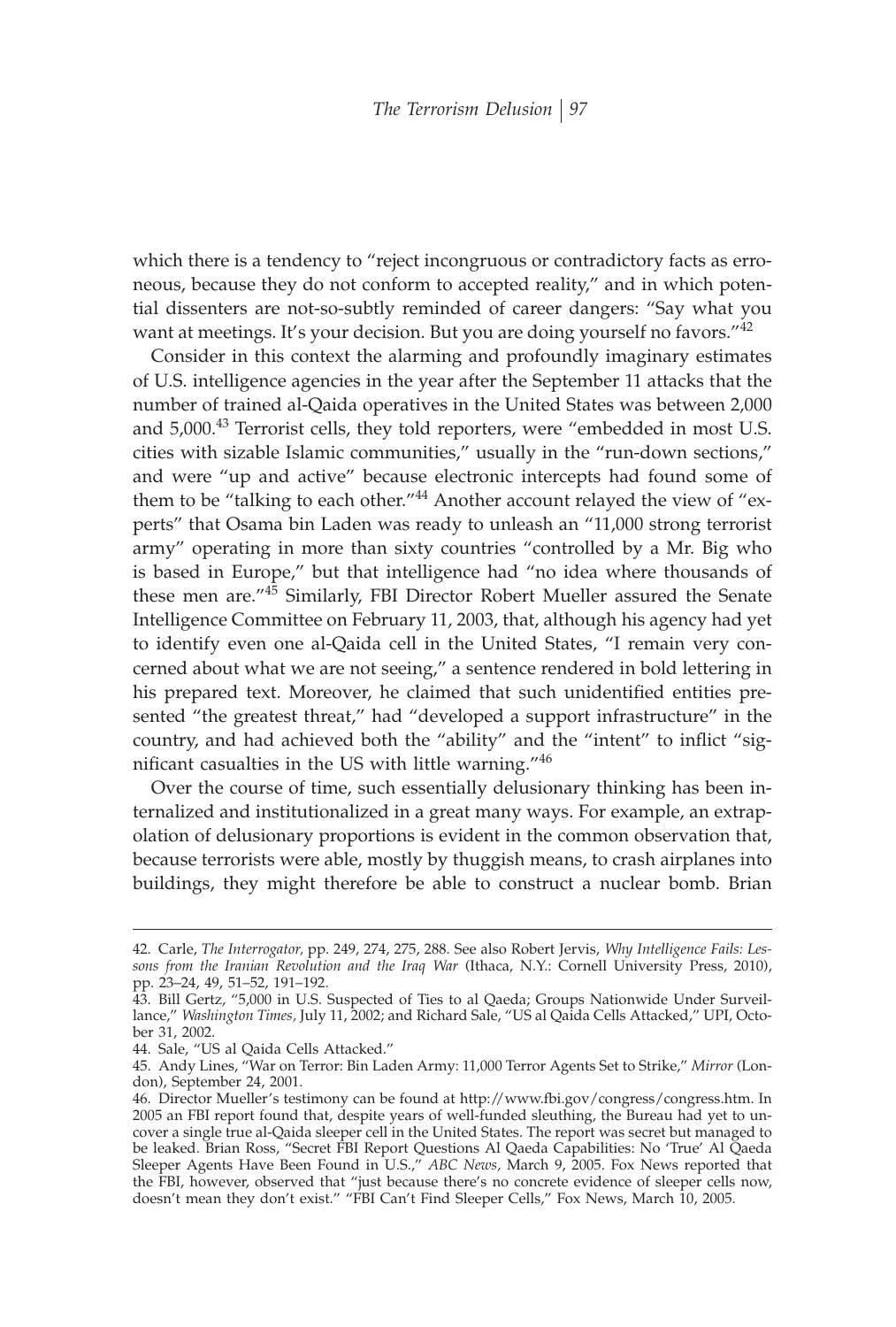which there is a tendency to "reject incongruous or contradictory facts as erroneous, because they do not conform to accepted reality," and in which potential dissenters are not-so-subtly reminded of career dangers: "Say what you want at meetings. It's your decision. But you are doing yourself no favors."<sup>42</sup>

Consider in this context the alarming and profoundly imaginary estimates of U.S. intelligence agencies in the year after the September 11 attacks that the number of trained al-Qaida operatives in the United States was between 2,000 and 5,000.<sup>43</sup> Terrorist cells, they told reporters, were "embedded in most U.S. cities with sizable Islamic communities," usually in the "run-down sections," and were "up and active" because electronic intercepts had found some of them to be "talking to each other."<sup>44</sup> Another account relayed the view of "experts" that Osama bin Laden was ready to unleash an "11,000 strong terrorist army" operating in more than sixty countries "controlled by a Mr. Big who is based in Europe," but that intelligence had "no idea where thousands of these men are."<sup>45</sup> Similarly, FBI Director Robert Mueller assured the Senate Intelligence Committee on February 11, 2003, that, although his agency had yet to identify even one al-Qaida cell in the United States, "I remain very concerned about what we are not seeing," a sentence rendered in bold lettering in his prepared text. Moreover, he claimed that such unidentified entities presented "the greatest threat," had "developed a support infrastructure" in the country, and had achieved both the "ability" and the "intent" to inflict "significant casualties in the US with little warning." $46$ 

Over the course of time, such essentially delusionary thinking has been internalized and institutionalized in a great many ways. For example, an extrapolation of delusionary proportions is evident in the common observation that, because terrorists were able, mostly by thuggish means, to crash airplanes into buildings, they might therefore be able to construct a nuclear bomb. Brian

<sup>42.</sup> Carle, *The Interrogator,* pp. 249, 274, 275, 288. See also Robert Jervis, *Why Intelligence Fails: Lessons from the Iranian Revolution and the Iraq War* (Ithaca, N.Y.: Cornell University Press, 2010), pp. 23–24, 49, 51–52, 191–192.

<sup>43.</sup> Bill Gertz, "5,000 in U.S. Suspected of Ties to al Qaeda; Groups Nationwide Under Surveillance," *Washington Times,* July 11, 2002; and Richard Sale, "US al Qaida Cells Attacked," UPI, October 31, 2002.

<sup>44.</sup> Sale, "US al Qaida Cells Attacked."

<sup>45.</sup> Andy Lines, "War on Terror: Bin Laden Army: 11,000 Terror Agents Set to Strike," *Mirror* (London), September 24, 2001.

<sup>46.</sup> Director Mueller's testimony can be found at http://www.fbi.gov/congress/congress.htm. In 2005 an FBI report found that, despite years of well-funded sleuthing, the Bureau had yet to uncover a single true al-Qaida sleeper cell in the United States. The report was secret but managed to be leaked. Brian Ross, "Secret FBI Report Questions Al Qaeda Capabilities: No 'True' Al Qaeda Sleeper Agents Have Been Found in U.S.," *ABC News,* March 9, 2005. Fox News reported that the FBI, however, observed that "just because there's no concrete evidence of sleeper cells now, doesn't mean they don't exist." "FBI Can't Find Sleeper Cells," Fox News, March 10, 2005.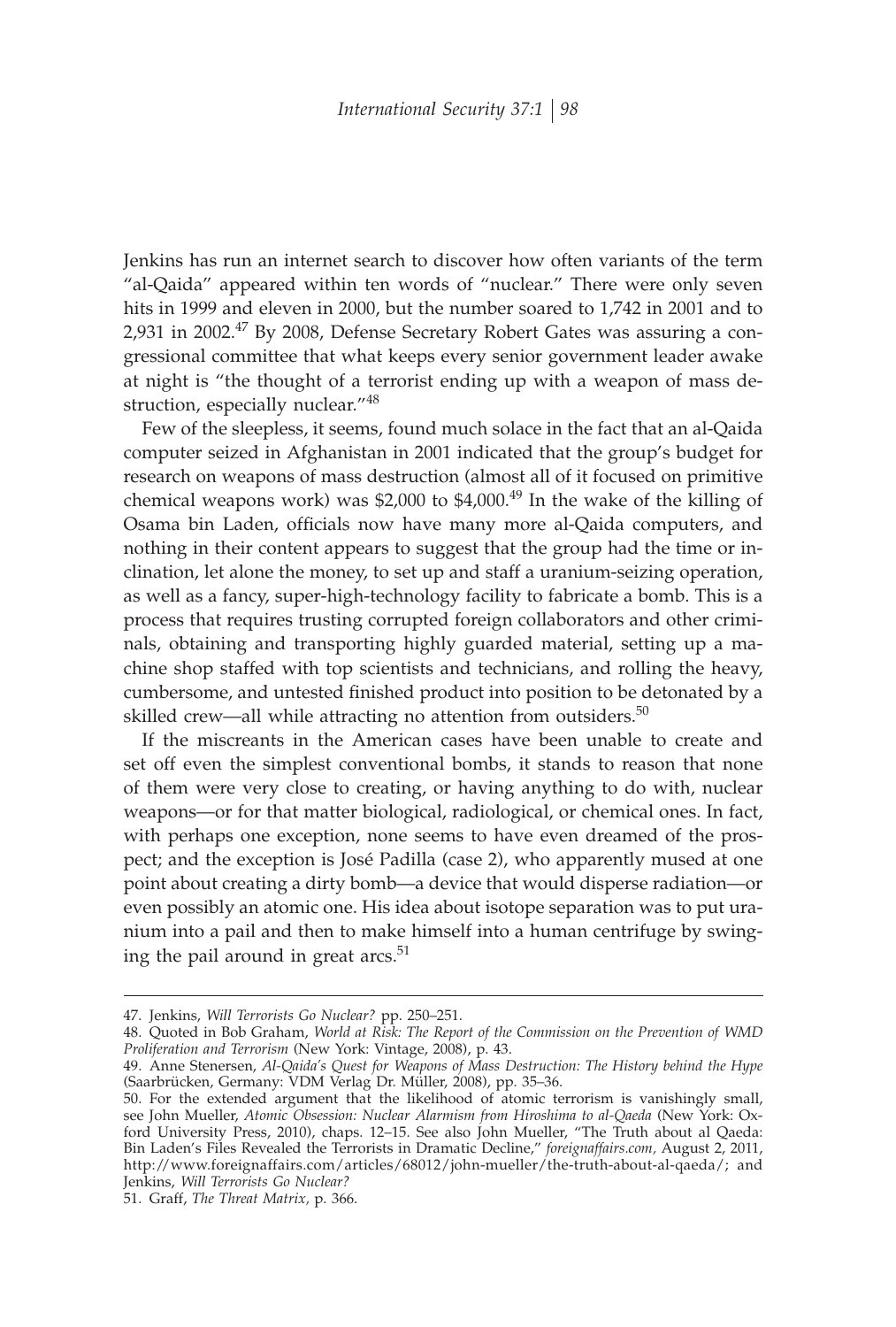Jenkins has run an internet search to discover how often variants of the term "al-Qaida" appeared within ten words of "nuclear." There were only seven hits in 1999 and eleven in 2000, but the number soared to 1,742 in 2001 and to 2,931 in 2002.<sup>47</sup> By 2008, Defense Secretary Robert Gates was assuring a congressional committee that what keeps every senior government leader awake at night is "the thought of a terrorist ending up with a weapon of mass destruction, especially nuclear."<sup>48</sup>

Few of the sleepless, it seems, found much solace in the fact that an al-Qaida computer seized in Afghanistan in 2001 indicated that the group's budget for research on weapons of mass destruction (almost all of it focused on primitive chemical weapons work) was \$2,000 to \$4,000.<sup>49</sup> In the wake of the killing of Osama bin Laden, officials now have many more al-Qaida computers, and nothing in their content appears to suggest that the group had the time or inclination, let alone the money, to set up and staff a uranium-seizing operation, as well as a fancy, super-high-technology facility to fabricate a bomb. This is a process that requires trusting corrupted foreign collaborators and other criminals, obtaining and transporting highly guarded material, setting up a machine shop staffed with top scientists and technicians, and rolling the heavy, cumbersome, and untested finished product into position to be detonated by a skilled crew—all while attracting no attention from outsiders.<sup>50</sup>

If the miscreants in the American cases have been unable to create and set off even the simplest conventional bombs, it stands to reason that none of them were very close to creating, or having anything to do with, nuclear weapons—or for that matter biological, radiological, or chemical ones. In fact, with perhaps one exception, none seems to have even dreamed of the prospect; and the exception is José Padilla (case 2), who apparently mused at one point about creating a dirty bomb—a device that would disperse radiation—or even possibly an atomic one. His idea about isotope separation was to put uranium into a pail and then to make himself into a human centrifuge by swinging the pail around in great arcs. $51$ 

<sup>47.</sup> Jenkins, *Will Terrorists Go Nuclear?* pp. 250–251.

<sup>48.</sup> Quoted in Bob Graham, *World at Risk: The Report of the Commission on the Prevention of WMD Proliferation and Terrorism* (New York: Vintage, 2008), p. 43.

<sup>49.</sup> Anne Stenersen, *Al-Qaida's Quest for Weapons of Mass Destruction: The History behind the Hype* (Saarbrücken, Germany: VDM Verlag Dr. Müller, 2008), pp. 35–36.

<sup>50.</sup> For the extended argument that the likelihood of atomic terrorism is vanishingly small, see John Mueller, *Atomic Obsession: Nuclear Alarmism from Hiroshima to al-Qaeda* (New York: Oxford University Press, 2010), chaps. 12–15. See also John Mueller, "The Truth about al Qaeda: Bin Laden's Files Revealed the Terrorists in Dramatic Decline," *foreignaffairs.com,* August 2, 2011, http://www.foreignaffairs.com/articles/68012/john-mueller/the-truth-about-al-qaeda/; and Jenkins, *Will Terrorists Go Nuclear?*

<sup>51.</sup> Graff, *The Threat Matrix,* p. 366.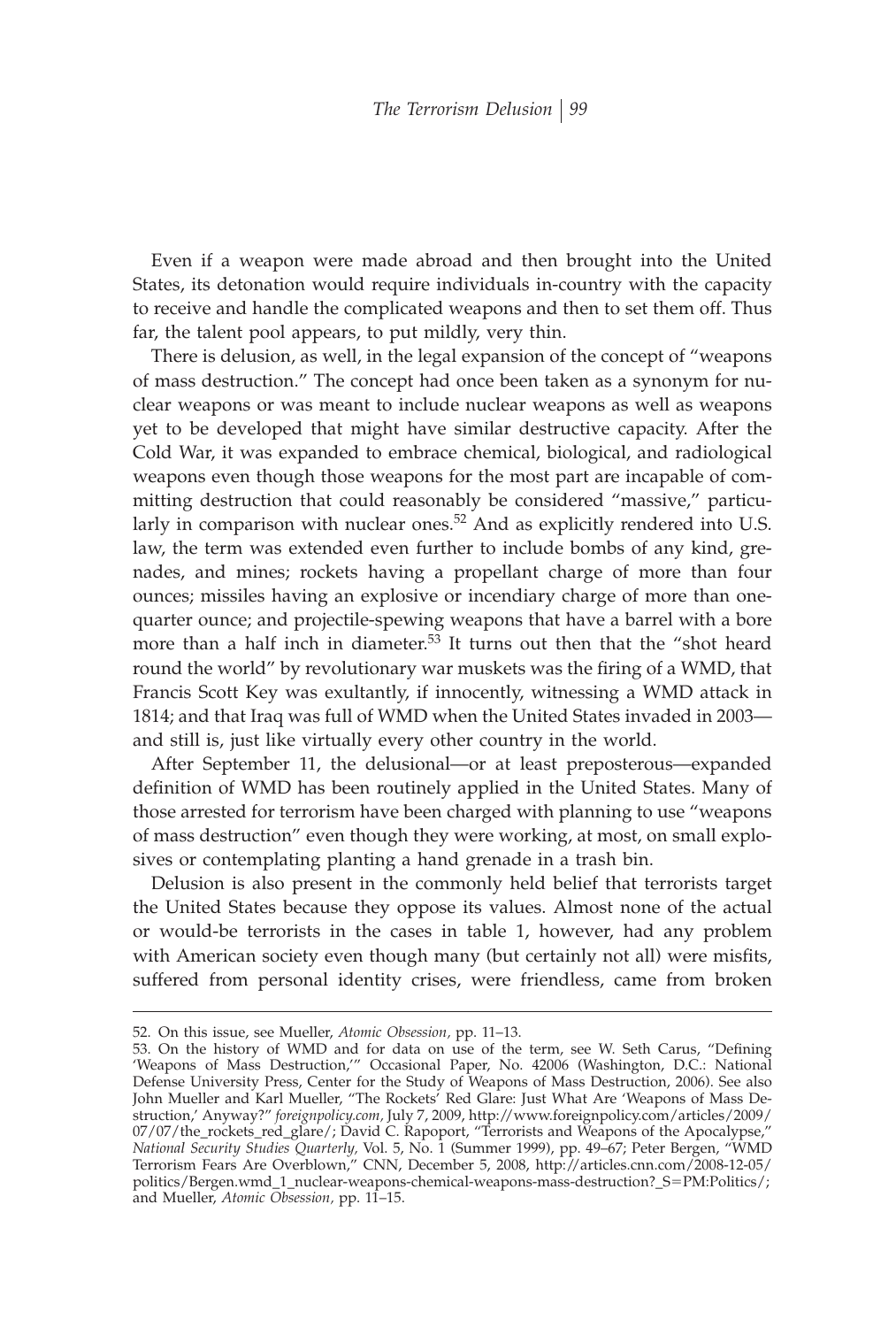Even if a weapon were made abroad and then brought into the United States, its detonation would require individuals in-country with the capacity to receive and handle the complicated weapons and then to set them off. Thus far, the talent pool appears, to put mildly, very thin.

There is delusion, as well, in the legal expansion of the concept of "weapons of mass destruction." The concept had once been taken as a synonym for nuclear weapons or was meant to include nuclear weapons as well as weapons yet to be developed that might have similar destructive capacity. After the Cold War, it was expanded to embrace chemical, biological, and radiological weapons even though those weapons for the most part are incapable of committing destruction that could reasonably be considered "massive," particularly in comparison with nuclear ones.<sup>52</sup> And as explicitly rendered into U.S. law, the term was extended even further to include bombs of any kind, grenades, and mines; rockets having a propellant charge of more than four ounces; missiles having an explosive or incendiary charge of more than onequarter ounce; and projectile-spewing weapons that have a barrel with a bore more than a half inch in diameter.<sup>53</sup> It turns out then that the "shot heard round the world" by revolutionary war muskets was the firing of a WMD, that Francis Scott Key was exultantly, if innocently, witnessing a WMD attack in 1814; and that Iraq was full of WMD when the United States invaded in 2003 and still is, just like virtually every other country in the world.

After September 11, the delusional—or at least preposterous—expanded definition of WMD has been routinely applied in the United States. Many of those arrested for terrorism have been charged with planning to use "weapons of mass destruction" even though they were working, at most, on small explosives or contemplating planting a hand grenade in a trash bin.

Delusion is also present in the commonly held belief that terrorists target the United States because they oppose its values. Almost none of the actual or would-be terrorists in the cases in table 1, however, had any problem with American society even though many (but certainly not all) were misfits, suffered from personal identity crises, were friendless, came from broken

<sup>52.</sup> On this issue, see Mueller, *Atomic Obsession,* pp. 11–13.

<sup>53.</sup> On the history of WMD and for data on use of the term, see W. Seth Carus, "Defining 'Weapons of Mass Destruction,'" Occasional Paper, No. 42006 (Washington, D.C.: National Defense University Press, Center for the Study of Weapons of Mass Destruction, 2006). See also John Mueller and Karl Mueller, "The Rockets' Red Glare: Just What Are 'Weapons of Mass Destruction,' Anyway?" *foreignpolicy.com,* July 7, 2009, http://www.foreignpolicy.com/articles/2009/ 07/07/the\_rockets\_red\_glare/; David C. Rapoport, "Terrorists and Weapons of the Apocalypse," *National Security Studies Quarterly,* Vol. 5, No. 1 (Summer 1999), pp. 49–67; Peter Bergen, "WMD Terrorism Fears Are Overblown," CNN, December 5, 2008, http://articles.cnn.com/2008-12-05/ politics/Bergen.wmd\_1\_nuclear-weapons-chemical-weapons-mass-destruction?\_S-PM:Politics/; and Mueller, *Atomic Obsession,* pp. 11–15.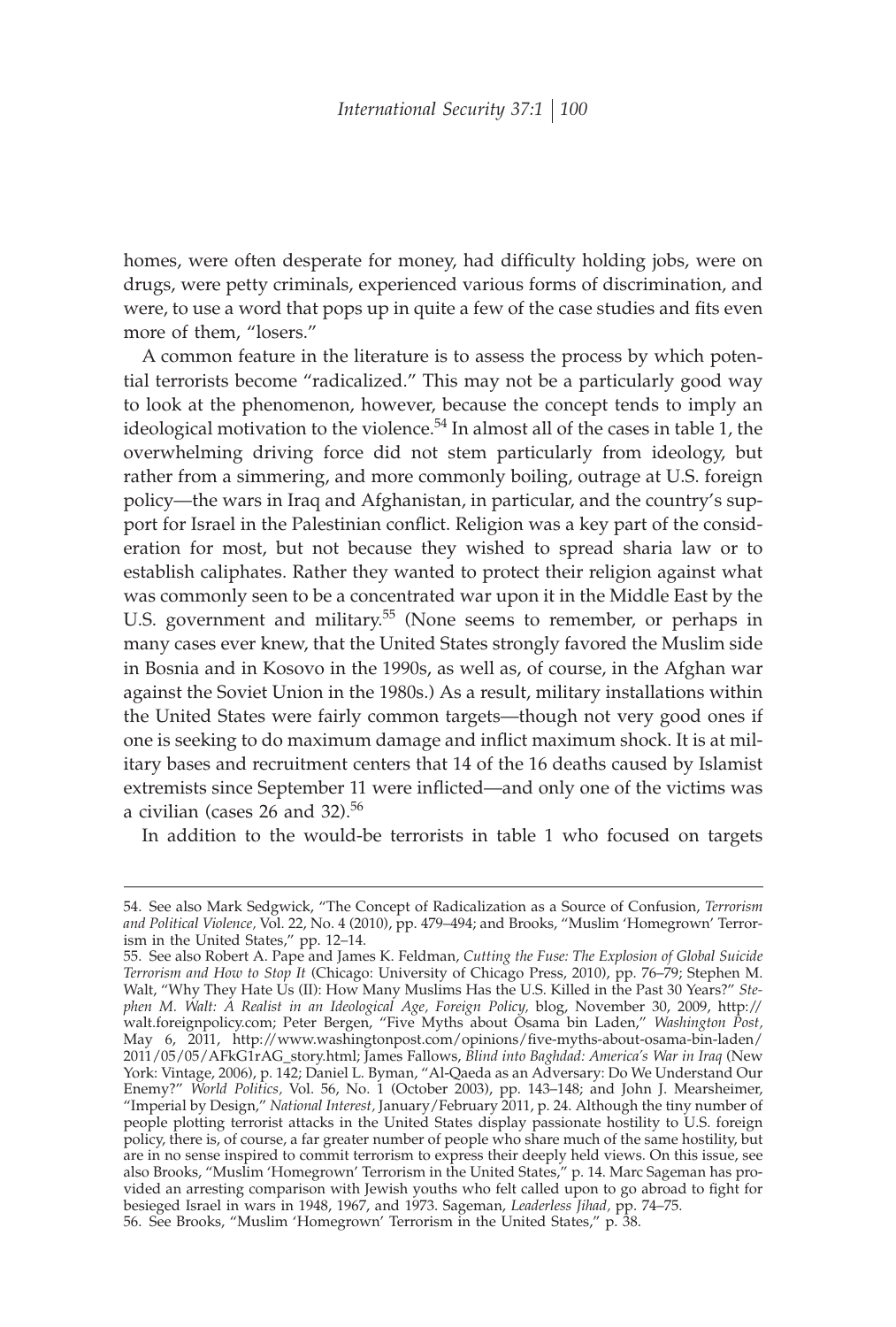homes, were often desperate for money, had difficulty holding jobs, were on drugs, were petty criminals, experienced various forms of discrimination, and were, to use a word that pops up in quite a few of the case studies and fits even more of them, "losers."

A common feature in the literature is to assess the process by which potential terrorists become "radicalized." This may not be a particularly good way to look at the phenomenon, however, because the concept tends to imply an ideological motivation to the violence.<sup>54</sup> In almost all of the cases in table 1, the overwhelming driving force did not stem particularly from ideology, but rather from a simmering, and more commonly boiling, outrage at U.S. foreign policy—the wars in Iraq and Afghanistan, in particular, and the country's support for Israel in the Palestinian conflict. Religion was a key part of the consideration for most, but not because they wished to spread sharia law or to establish caliphates. Rather they wanted to protect their religion against what was commonly seen to be a concentrated war upon it in the Middle East by the U.S. government and military.<sup>55</sup> (None seems to remember, or perhaps in many cases ever knew, that the United States strongly favored the Muslim side in Bosnia and in Kosovo in the 1990s, as well as, of course, in the Afghan war against the Soviet Union in the 1980s.) As a result, military installations within the United States were fairly common targets—though not very good ones if one is seeking to do maximum damage and inflict maximum shock. It is at military bases and recruitment centers that 14 of the 16 deaths caused by Islamist extremists since September 11 were inflicted—and only one of the victims was a civilian (cases 26 and 32). $56$ 

In addition to the would-be terrorists in table 1 who focused on targets

<sup>54.</sup> See also Mark Sedgwick, "The Concept of Radicalization as a Source of Confusion, *Terrorism and Political Violence,* Vol. 22, No. 4 (2010), pp. 479–494; and Brooks, "Muslim 'Homegrown' Terrorism in the United States," pp. 12–14.

<sup>55.</sup> See also Robert A. Pape and James K. Feldman, *Cutting the Fuse: The Explosion of Global Suicide Terrorism and How to Stop It* (Chicago: University of Chicago Press, 2010), pp. 76–79; Stephen M. Walt, "Why They Hate Us (II): How Many Muslims Has the U.S. Killed in the Past 30 Years?" *Stephen M. Walt: A Realist in an Ideological Age, Foreign Policy,* blog, November 30, 2009, http:// walt.foreignpolicy.com; Peter Bergen, "Five Myths about Osama bin Laden," *Washington Post,* May 6, 2011, http://www.washingtonpost.com/opinions/five-myths-about-osama-bin-laden/ 2011/05/05/AFkG1rAG\_story.html; James Fallows, *Blind into Baghdad: America's War in Iraq* (New York: Vintage, 2006), p. 142; Daniel L. Byman, "Al-Qaeda as an Adversary: Do We Understand Our Enemy?" *World Politics,* Vol. 56, No. 1 (October 2003), pp. 143–148; and John J. Mearsheimer, "Imperial by Design," *National Interest,* January/February 2011, p. 24. Although the tiny number of people plotting terrorist attacks in the United States display passionate hostility to U.S. foreign policy, there is, of course, a far greater number of people who share much of the same hostility, but are in no sense inspired to commit terrorism to express their deeply held views. On this issue, see also Brooks, "Muslim 'Homegrown' Terrorism in the United States," p. 14. Marc Sageman has provided an arresting comparison with Jewish youths who felt called upon to go abroad to fight for besieged Israel in wars in 1948, 1967, and 1973. Sageman, *Leaderless Jihad,* pp. 74–75. 56. See Brooks, "Muslim 'Homegrown' Terrorism in the United States," p. 38.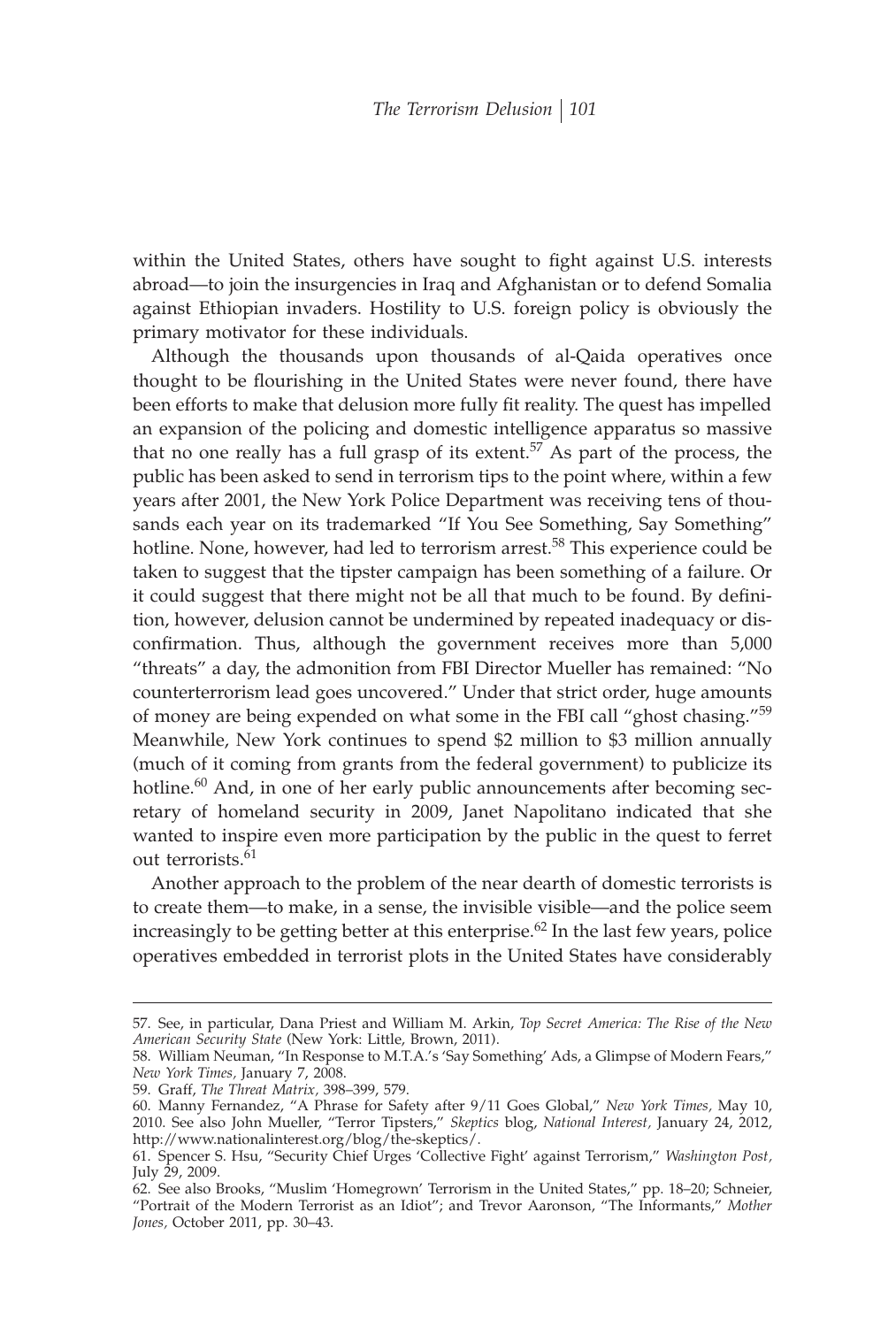within the United States, others have sought to fight against U.S. interests abroad—to join the insurgencies in Iraq and Afghanistan or to defend Somalia against Ethiopian invaders. Hostility to U.S. foreign policy is obviously the primary motivator for these individuals.

Although the thousands upon thousands of al-Qaida operatives once thought to be flourishing in the United States were never found, there have been efforts to make that delusion more fully fit reality. The quest has impelled an expansion of the policing and domestic intelligence apparatus so massive that no one really has a full grasp of its extent.<sup>57</sup> As part of the process, the public has been asked to send in terrorism tips to the point where, within a few years after 2001, the New York Police Department was receiving tens of thousands each year on its trademarked "If You See Something, Say Something" hotline. None, however, had led to terrorism arrest.<sup>58</sup> This experience could be taken to suggest that the tipster campaign has been something of a failure. Or it could suggest that there might not be all that much to be found. By definition, however, delusion cannot be undermined by repeated inadequacy or disconfirmation. Thus, although the government receives more than 5,000 "threats" a day, the admonition from FBI Director Mueller has remained: "No counterterrorism lead goes uncovered." Under that strict order, huge amounts of money are being expended on what some in the FBI call "ghost chasing."<sup>59</sup> Meanwhile, New York continues to spend \$2 million to \$3 million annually (much of it coming from grants from the federal government) to publicize its hotline.<sup>60</sup> And, in one of her early public announcements after becoming secretary of homeland security in 2009, Janet Napolitano indicated that she wanted to inspire even more participation by the public in the quest to ferret out terrorists.<sup>61</sup>

Another approach to the problem of the near dearth of domestic terrorists is to create them—to make, in a sense, the invisible visible—and the police seem increasingly to be getting better at this enterprise.<sup>62</sup> In the last few years, police operatives embedded in terrorist plots in the United States have considerably

<sup>57.</sup> See, in particular, Dana Priest and William M. Arkin, *Top Secret America: The Rise of the New American Security State* (New York: Little, Brown, 2011).

<sup>58.</sup> William Neuman, "In Response to M.T.A.'s 'Say Something' Ads, a Glimpse of Modern Fears," *New York Times,* January 7, 2008.

<sup>59.</sup> Graff, *The Threat Matrix,* 398–399, 579.

<sup>60.</sup> Manny Fernandez, "A Phrase for Safety after 9/11 Goes Global," *New York Times,* May 10, 2010. See also John Mueller, "Terror Tipsters," *Skeptics* blog, *National Interest,* January 24, 2012, http://www.nationalinterest.org/blog/the-skeptics/.

<sup>61.</sup> Spencer S. Hsu, "Security Chief Urges 'Collective Fight' against Terrorism," *Washington Post,* July 29, 2009.

<sup>62.</sup> See also Brooks, "Muslim 'Homegrown' Terrorism in the United States," pp. 18–20; Schneier, "Portrait of the Modern Terrorist as an Idiot"; and Trevor Aaronson, "The Informants," *Mother Jones,* October 2011, pp. 30–43.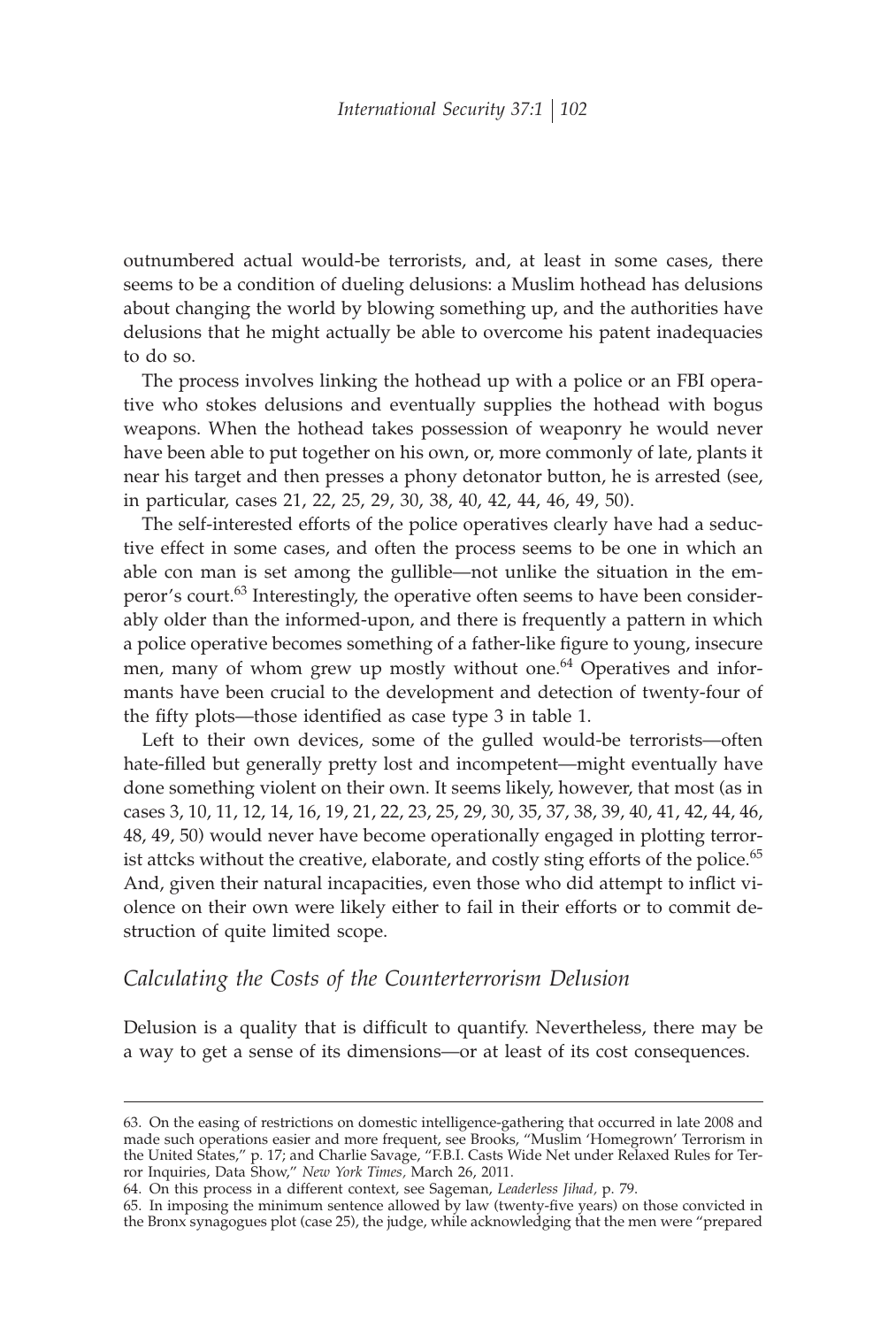outnumbered actual would-be terrorists, and, at least in some cases, there seems to be a condition of dueling delusions: a Muslim hothead has delusions about changing the world by blowing something up, and the authorities have delusions that he might actually be able to overcome his patent inadequacies to do so.

The process involves linking the hothead up with a police or an FBI operative who stokes delusions and eventually supplies the hothead with bogus weapons. When the hothead takes possession of weaponry he would never have been able to put together on his own, or, more commonly of late, plants it near his target and then presses a phony detonator button, he is arrested (see, in particular, cases 21, 22, 25, 29, 30, 38, 40, 42, 44, 46, 49, 50).

The self-interested efforts of the police operatives clearly have had a seductive effect in some cases, and often the process seems to be one in which an able con man is set among the gullible—not unlike the situation in the emperor's court.<sup>63</sup> Interestingly, the operative often seems to have been considerably older than the informed-upon, and there is frequently a pattern in which a police operative becomes something of a father-like figure to young, insecure men, many of whom grew up mostly without one.<sup>64</sup> Operatives and informants have been crucial to the development and detection of twenty-four of the fifty plots—those identified as case type 3 in table 1.

Left to their own devices, some of the gulled would-be terrorists—often hate-filled but generally pretty lost and incompetent—might eventually have done something violent on their own. It seems likely, however, that most (as in cases 3, 10, 11, 12, 14, 16, 19, 21, 22, 23, 25, 29, 30, 35, 37, 38, 39, 40, 41, 42, 44, 46, 48, 49, 50) would never have become operationally engaged in plotting terrorist attcks without the creative, elaborate, and costly sting efforts of the police. $65$ And, given their natural incapacities, even those who did attempt to inflict violence on their own were likely either to fail in their efforts or to commit destruction of quite limited scope.

# *Calculating the Costs of the Counterterrorism Delusion*

Delusion is a quality that is difficult to quantify. Nevertheless, there may be a way to get a sense of its dimensions—or at least of its cost consequences.

<sup>63.</sup> On the easing of restrictions on domestic intelligence-gathering that occurred in late 2008 and made such operations easier and more frequent, see Brooks, "Muslim 'Homegrown' Terrorism in the United States," p. 17; and Charlie Savage, "F.B.I. Casts Wide Net under Relaxed Rules for Terror Inquiries, Data Show," *New York Times,* March 26, 2011.

<sup>64.</sup> On this process in a different context, see Sageman, *Leaderless Jihad,* p. 79.

<sup>65.</sup> In imposing the minimum sentence allowed by law (twenty-five years) on those convicted in the Bronx synagogues plot (case 25), the judge, while acknowledging that the men were "prepared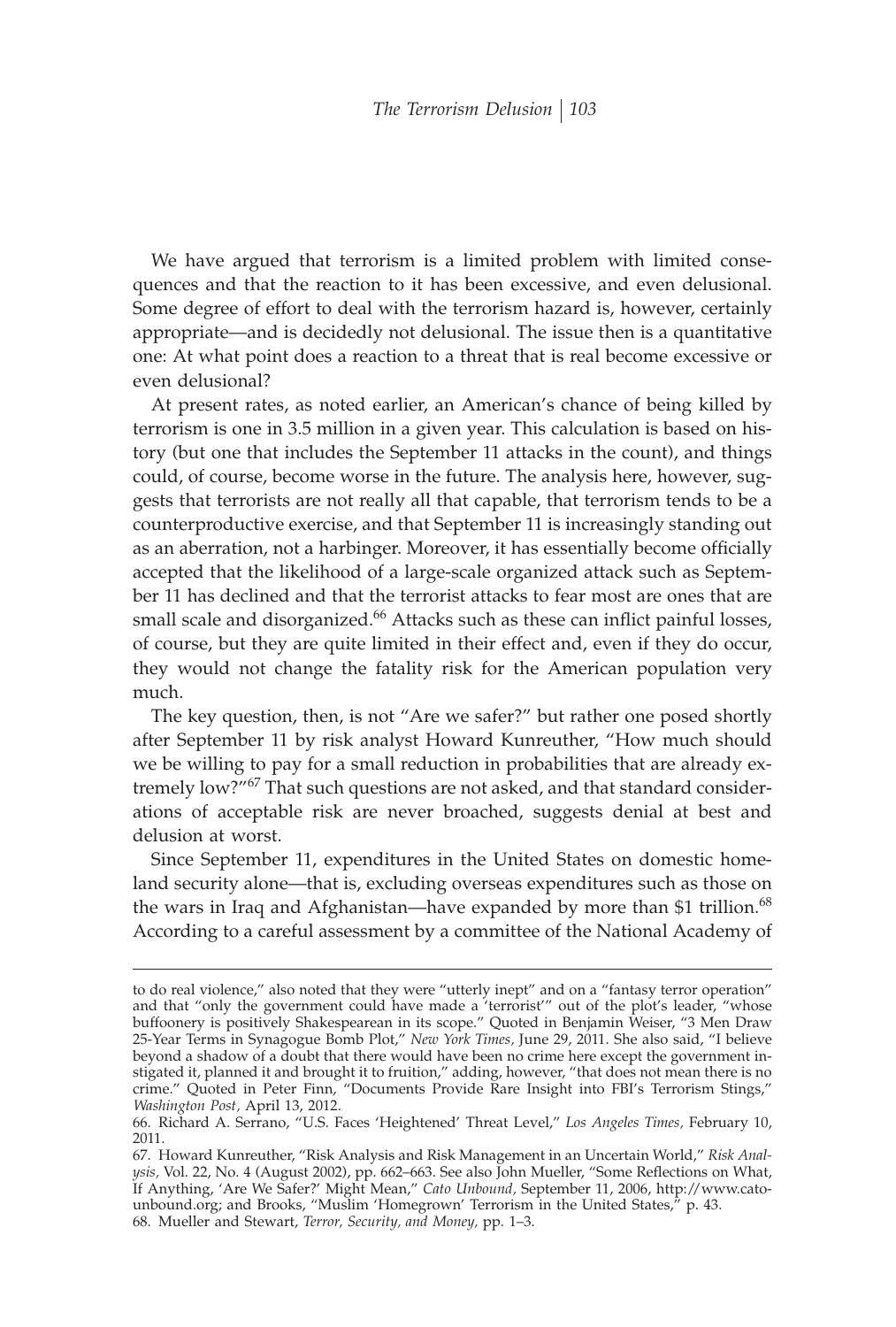We have argued that terrorism is a limited problem with limited consequences and that the reaction to it has been excessive, and even delusional. Some degree of effort to deal with the terrorism hazard is, however, certainly appropriate—and is decidedly not delusional. The issue then is a quantitative one: At what point does a reaction to a threat that is real become excessive or even delusional?

At present rates, as noted earlier, an American's chance of being killed by terrorism is one in 3.5 million in a given year. This calculation is based on history (but one that includes the September 11 attacks in the count), and things could, of course, become worse in the future. The analysis here, however, suggests that terrorists are not really all that capable, that terrorism tends to be a counterproductive exercise, and that September 11 is increasingly standing out as an aberration, not a harbinger. Moreover, it has essentially become officially accepted that the likelihood of a large-scale organized attack such as September 11 has declined and that the terrorist attacks to fear most are ones that are small scale and disorganized.<sup>66</sup> Attacks such as these can inflict painful losses, of course, but they are quite limited in their effect and, even if they do occur, they would not change the fatality risk for the American population very much.

The key question, then, is not "Are we safer?" but rather one posed shortly after September 11 by risk analyst Howard Kunreuther, "How much should we be willing to pay for a small reduction in probabilities that are already extremely low?"<sup>67</sup> That such questions are not asked, and that standard considerations of acceptable risk are never broached, suggests denial at best and delusion at worst.

Since September 11, expenditures in the United States on domestic homeland security alone—that is, excluding overseas expenditures such as those on the wars in Iraq and Afghanistan—have expanded by more than \$1 trillion.<sup>68</sup> According to a careful assessment by a committee of the National Academy of

to do real violence," also noted that they were "utterly inept" and on a "fantasy terror operation" and that "only the government could have made a 'terrorist'" out of the plot's leader, "whose buffoonery is positively Shakespearean in its scope." Quoted in Benjamin Weiser, "3 Men Draw 25-Year Terms in Synagogue Bomb Plot," *New York Times,* June 29, 2011. She also said, "I believe beyond a shadow of a doubt that there would have been no crime here except the government instigated it, planned it and brought it to fruition," adding, however, "that does not mean there is no crime." Quoted in Peter Finn, "Documents Provide Rare Insight into FBI's Terrorism Stings," *Washington Post,* April 13, 2012.

<sup>66.</sup> Richard A. Serrano, "U.S. Faces 'Heightened' Threat Level," *Los Angeles Times,* February 10, 2011.

<sup>67.</sup> Howard Kunreuther, "Risk Analysis and Risk Management in an Uncertain World," *Risk Analysis,* Vol. 22, No. 4 (August 2002), pp. 662–663. See also John Mueller, "Some Reflections on What, If Anything, 'Are We Safer?' Might Mean," *Cato Unbound,* September 11, 2006, http://www.catounbound.org; and Brooks, "Muslim 'Homegrown' Terrorism in the United States," p. 43. 68. Mueller and Stewart, *Terror, Security, and Money,* pp. 1–3.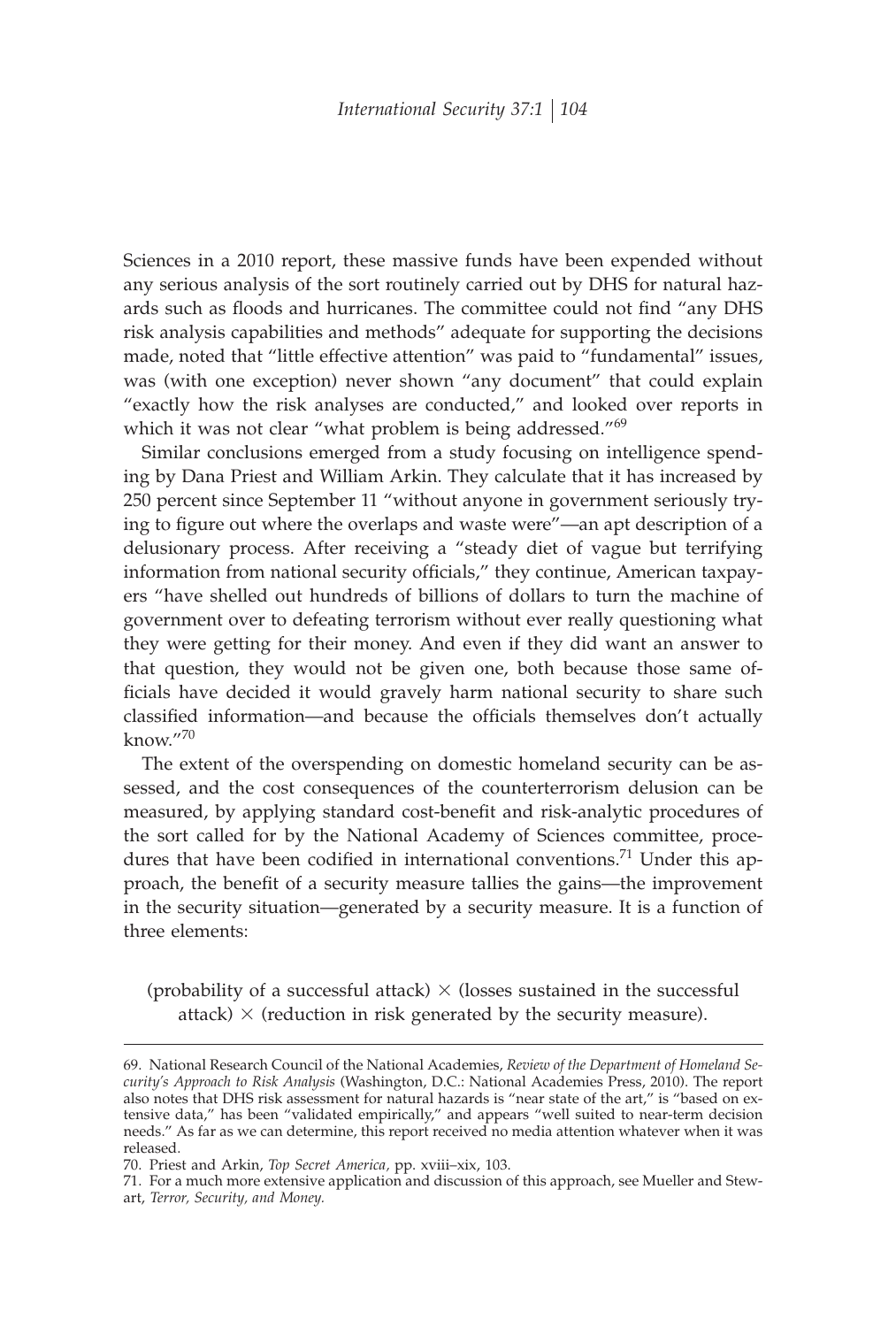Sciences in a 2010 report, these massive funds have been expended without any serious analysis of the sort routinely carried out by DHS for natural hazards such as floods and hurricanes. The committee could not find "any DHS risk analysis capabilities and methods" adequate for supporting the decisions made, noted that "little effective attention" was paid to "fundamental" issues, was (with one exception) never shown "any document" that could explain "exactly how the risk analyses are conducted," and looked over reports in which it was not clear "what problem is being addressed."<sup>69</sup>

Similar conclusions emerged from a study focusing on intelligence spending by Dana Priest and William Arkin. They calculate that it has increased by 250 percent since September 11 "without anyone in government seriously trying to figure out where the overlaps and waste were"—an apt description of a delusionary process. After receiving a "steady diet of vague but terrifying information from national security officials," they continue, American taxpayers "have shelled out hundreds of billions of dollars to turn the machine of government over to defeating terrorism without ever really questioning what they were getting for their money. And even if they did want an answer to that question, they would not be given one, both because those same officials have decided it would gravely harm national security to share such classified information—and because the officials themselves don't actually know. $"^{70}$ 

The extent of the overspending on domestic homeland security can be assessed, and the cost consequences of the counterterrorism delusion can be measured, by applying standard cost-benefit and risk-analytic procedures of the sort called for by the National Academy of Sciences committee, procedures that have been codified in international conventions.<sup>71</sup> Under this approach, the benefit of a security measure tallies the gains—the improvement in the security situation—generated by a security measure. It is a function of three elements:

(probability of a successful attack)  $\times$  (losses sustained in the successful attack)  $\times$  (reduction in risk generated by the security measure).

<sup>69.</sup> National Research Council of the National Academies, *Review of the Department of Homeland Security's Approach to Risk Analysis* (Washington, D.C.: National Academies Press, 2010). The report also notes that DHS risk assessment for natural hazards is "near state of the art," is "based on extensive data," has been "validated empirically," and appears "well suited to near-term decision needs." As far as we can determine, this report received no media attention whatever when it was released.

<sup>70.</sup> Priest and Arkin, *Top Secret America,* pp. xviii–xix, 103.

<sup>71.</sup> For a much more extensive application and discussion of this approach, see Mueller and Stew-

art, *Terror, Security, and Money.*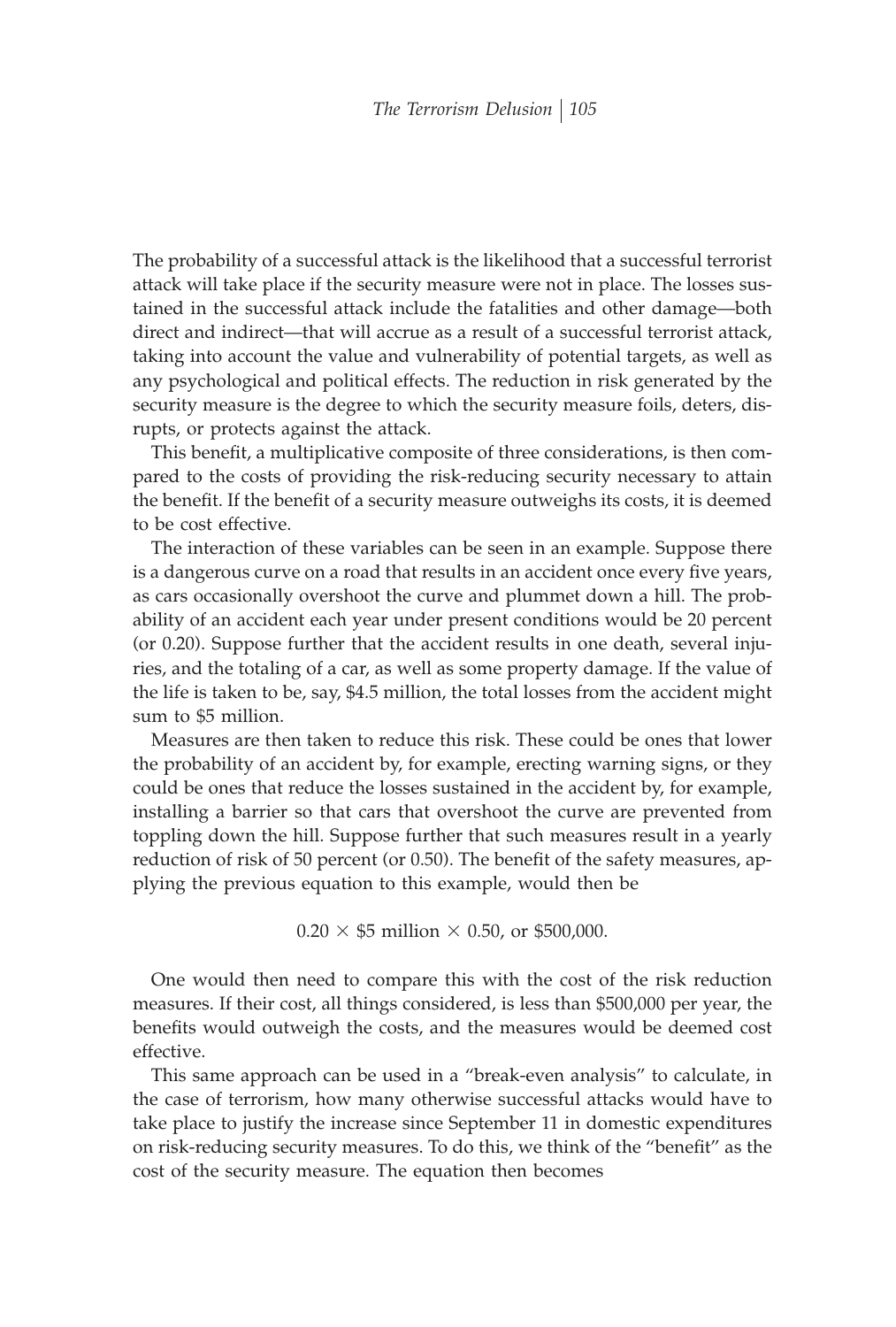The probability of a successful attack is the likelihood that a successful terrorist attack will take place if the security measure were not in place. The losses sustained in the successful attack include the fatalities and other damage—both direct and indirect—that will accrue as a result of a successful terrorist attack, taking into account the value and vulnerability of potential targets, as well as any psychological and political effects. The reduction in risk generated by the security measure is the degree to which the security measure foils, deters, disrupts, or protects against the attack.

This benefit, a multiplicative composite of three considerations, is then compared to the costs of providing the risk-reducing security necessary to attain the benefit. If the benefit of a security measure outweighs its costs, it is deemed to be cost effective.

The interaction of these variables can be seen in an example. Suppose there is a dangerous curve on a road that results in an accident once every five years, as cars occasionally overshoot the curve and plummet down a hill. The probability of an accident each year under present conditions would be 20 percent (or 0.20). Suppose further that the accident results in one death, several injuries, and the totaling of a car, as well as some property damage. If the value of the life is taken to be, say, \$4.5 million, the total losses from the accident might sum to \$5 million.

Measures are then taken to reduce this risk. These could be ones that lower the probability of an accident by, for example, erecting warning signs, or they could be ones that reduce the losses sustained in the accident by, for example, installing a barrier so that cars that overshoot the curve are prevented from toppling down the hill. Suppose further that such measures result in a yearly reduction of risk of 50 percent (or 0.50). The benefit of the safety measures, applying the previous equation to this example, would then be

 $0.20 \times $5$  million  $\times 0.50$ , or \$500,000.

One would then need to compare this with the cost of the risk reduction measures. If their cost, all things considered, is less than \$500,000 per year, the benefits would outweigh the costs, and the measures would be deemed cost effective.

This same approach can be used in a "break-even analysis" to calculate, in the case of terrorism, how many otherwise successful attacks would have to take place to justify the increase since September 11 in domestic expenditures on risk-reducing security measures. To do this, we think of the "benefit" as the cost of the security measure. The equation then becomes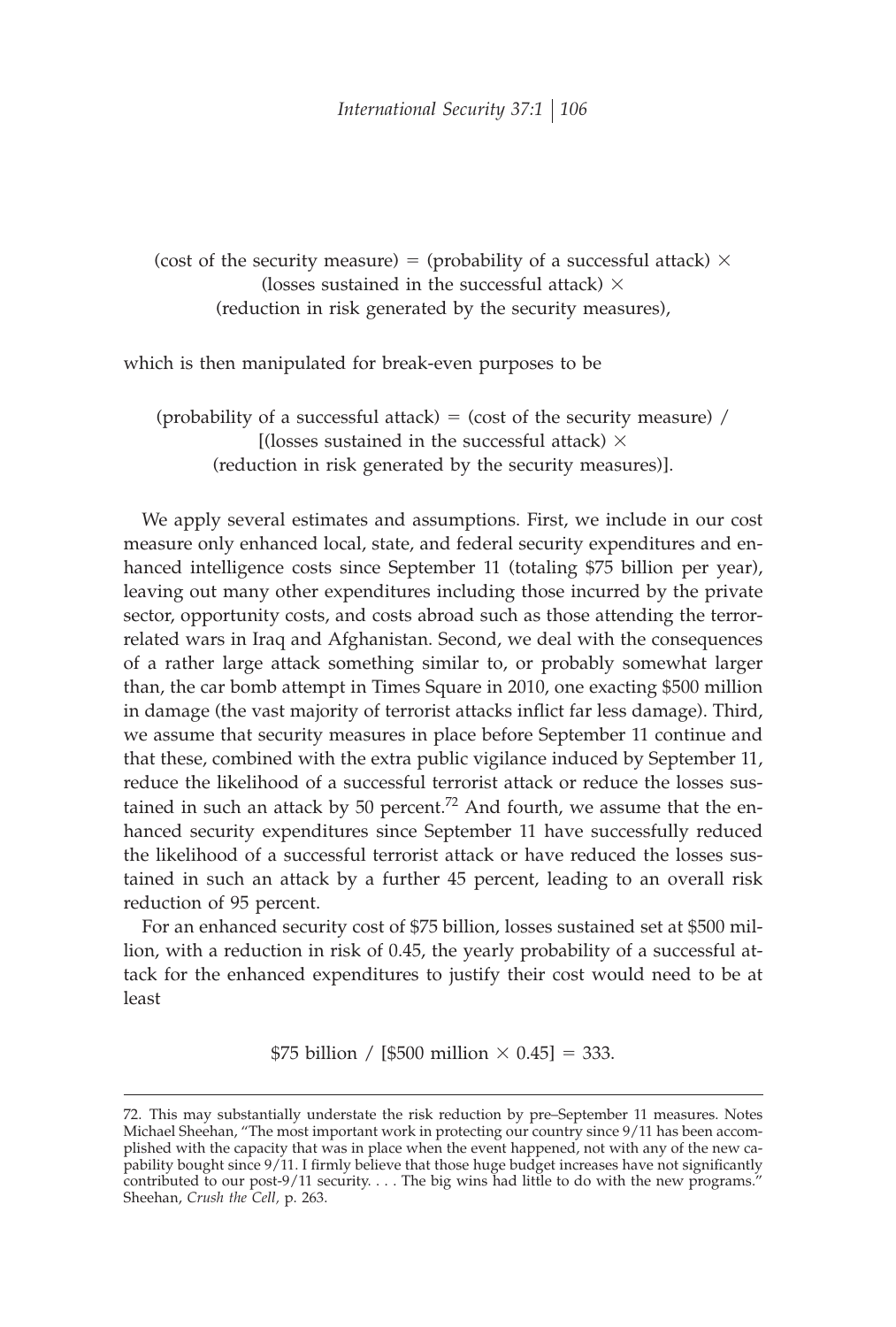(cost of the security measure) = (probability of a successful attack)  $\times$ (losses sustained in the successful attack)  $\times$ (reduction in risk generated by the security measures),

which is then manipulated for break-even purposes to be

 $(probability of a successful attack) = (cost of the security measure) /$ [(losses sustained in the successful attack)  $\times$ (reduction in risk generated by the security measures)].

We apply several estimates and assumptions. First, we include in our cost measure only enhanced local, state, and federal security expenditures and enhanced intelligence costs since September 11 (totaling \$75 billion per year), leaving out many other expenditures including those incurred by the private sector, opportunity costs, and costs abroad such as those attending the terrorrelated wars in Iraq and Afghanistan. Second, we deal with the consequences of a rather large attack something similar to, or probably somewhat larger than, the car bomb attempt in Times Square in 2010, one exacting \$500 million in damage (the vast majority of terrorist attacks inflict far less damage). Third, we assume that security measures in place before September 11 continue and that these, combined with the extra public vigilance induced by September 11, reduce the likelihood of a successful terrorist attack or reduce the losses sustained in such an attack by 50 percent.<sup>72</sup> And fourth, we assume that the enhanced security expenditures since September 11 have successfully reduced the likelihood of a successful terrorist attack or have reduced the losses sustained in such an attack by a further 45 percent, leading to an overall risk reduction of 95 percent.

For an enhanced security cost of \$75 billion, losses sustained set at \$500 million, with a reduction in risk of 0.45, the yearly probability of a successful attack for the enhanced expenditures to justify their cost would need to be at least

 $$75 billion / [$500 million \times 0.45] = 333.$ 

<sup>72.</sup> This may substantially understate the risk reduction by pre–September 11 measures. Notes Michael Sheehan, "The most important work in protecting our country since 9/11 has been accomplished with the capacity that was in place when the event happened, not with any of the new capability bought since 9/11. I firmly believe that those huge budget increases have not significantly contributed to our post-9/11 security. . . . The big wins had little to do with the new programs." Sheehan, *Crush the Cell,* p. 263.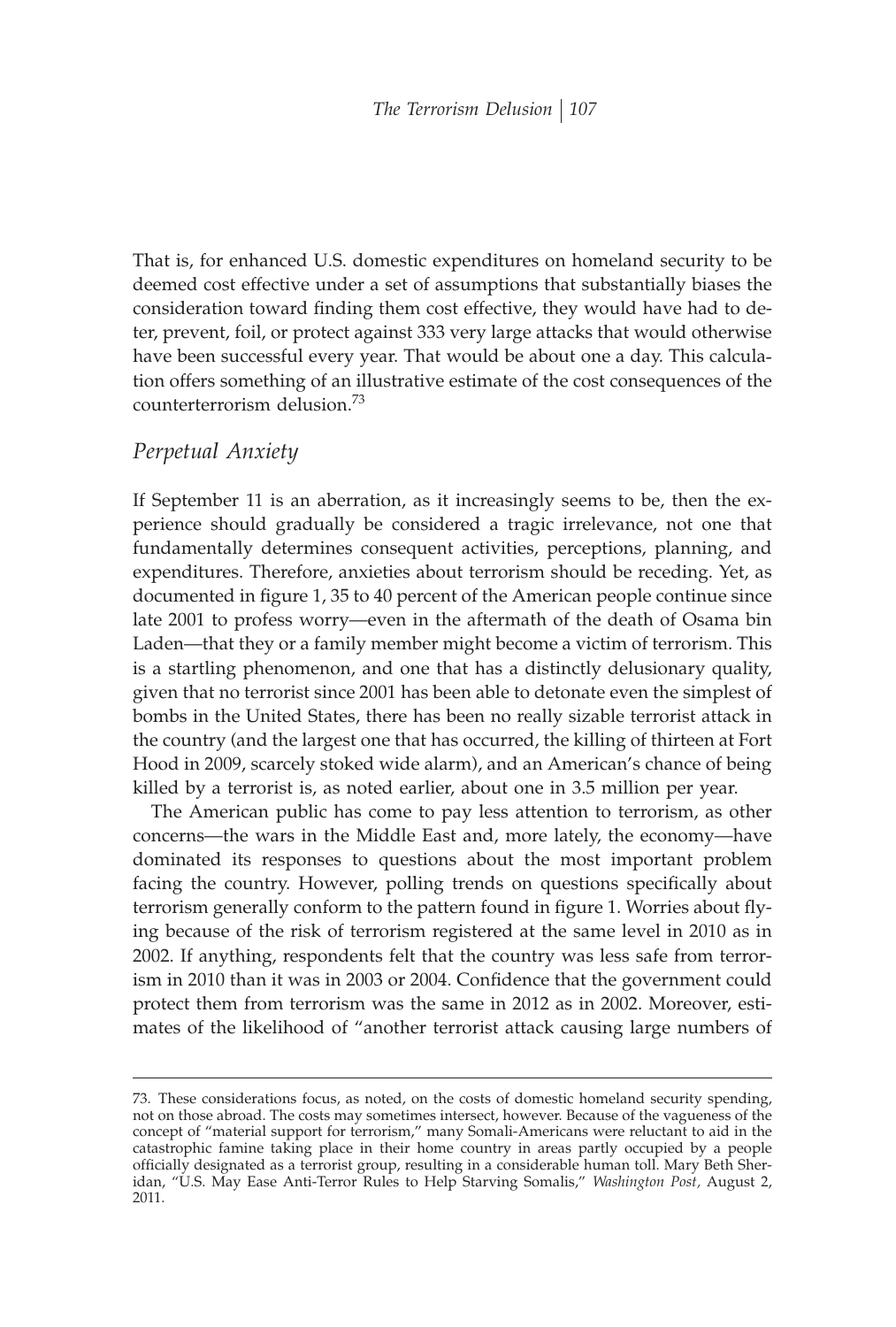That is, for enhanced U.S. domestic expenditures on homeland security to be deemed cost effective under a set of assumptions that substantially biases the consideration toward finding them cost effective, they would have had to deter, prevent, foil, or protect against 333 very large attacks that would otherwise have been successful every year. That would be about one a day. This calculation offers something of an illustrative estimate of the cost consequences of the counterterrorism delusion.<sup>73</sup>

## *Perpetual Anxiety*

If September 11 is an aberration, as it increasingly seems to be, then the experience should gradually be considered a tragic irrelevance, not one that fundamentally determines consequent activities, perceptions, planning, and expenditures. Therefore, anxieties about terrorism should be receding. Yet, as documented in figure 1, 35 to 40 percent of the American people continue since late 2001 to profess worry—even in the aftermath of the death of Osama bin Laden—that they or a family member might become a victim of terrorism. This is a startling phenomenon, and one that has a distinctly delusionary quality, given that no terrorist since 2001 has been able to detonate even the simplest of bombs in the United States, there has been no really sizable terrorist attack in the country (and the largest one that has occurred, the killing of thirteen at Fort Hood in 2009, scarcely stoked wide alarm), and an American's chance of being killed by a terrorist is, as noted earlier, about one in 3.5 million per year.

The American public has come to pay less attention to terrorism, as other concerns—the wars in the Middle East and, more lately, the economy—have dominated its responses to questions about the most important problem facing the country. However, polling trends on questions specifically about terrorism generally conform to the pattern found in figure 1. Worries about flying because of the risk of terrorism registered at the same level in 2010 as in 2002. If anything, respondents felt that the country was less safe from terrorism in 2010 than it was in 2003 or 2004. Confidence that the government could protect them from terrorism was the same in 2012 as in 2002. Moreover, estimates of the likelihood of "another terrorist attack causing large numbers of

<sup>73.</sup> These considerations focus, as noted, on the costs of domestic homeland security spending, not on those abroad. The costs may sometimes intersect, however. Because of the vagueness of the concept of "material support for terrorism," many Somali-Americans were reluctant to aid in the catastrophic famine taking place in their home country in areas partly occupied by a people officially designated as a terrorist group, resulting in a considerable human toll. Mary Beth Sheridan, "U.S. May Ease Anti-Terror Rules to Help Starving Somalis," *Washington Post,* August 2, 2011.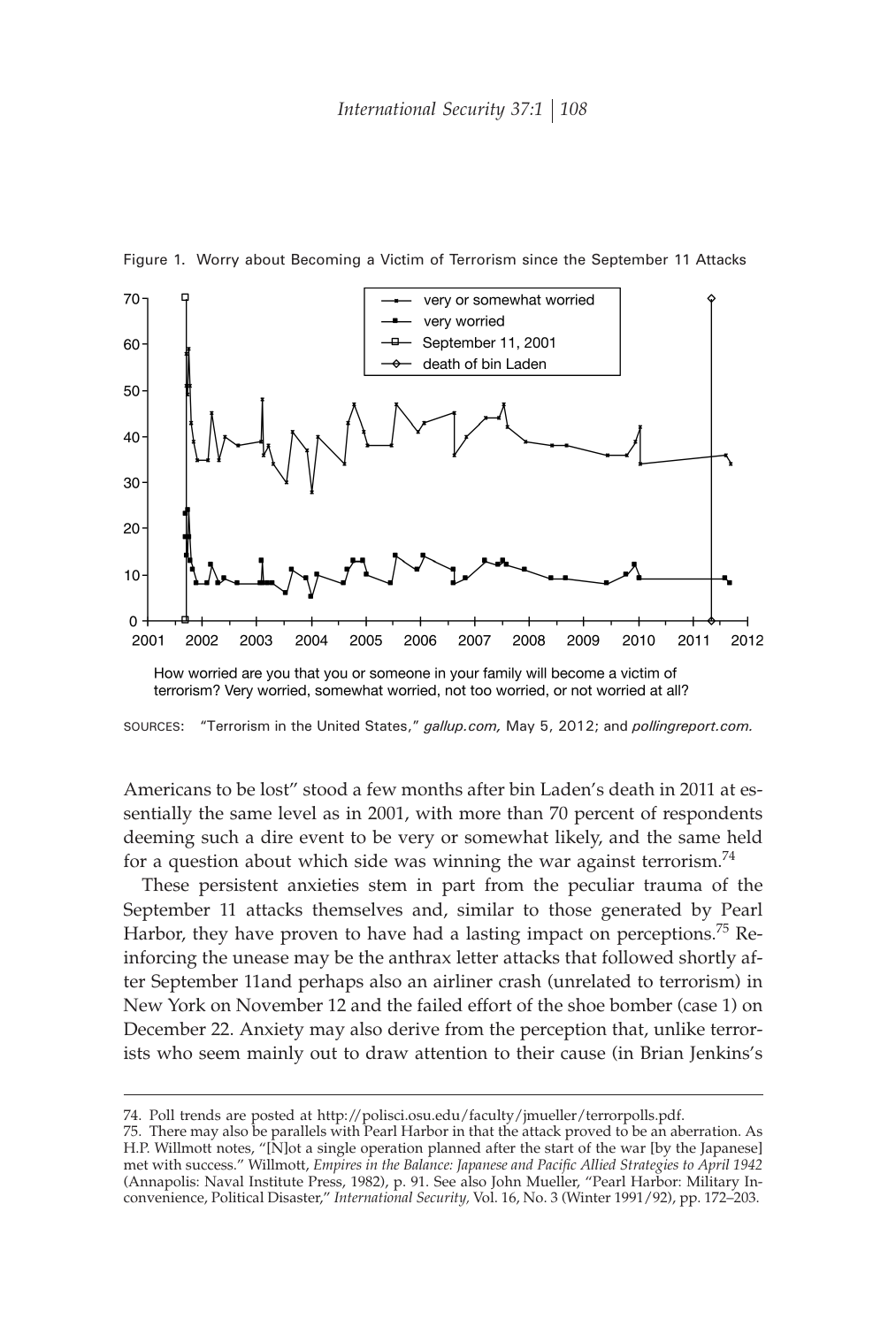

Figure 1. Worry about Becoming a Victim of Terrorism since the September 11 Attacks

How worried are you that you or someone in your family will become a victim of terrorism? Very worried, somewhat worried, not too worried, or not worried at all?

Americans to be lost" stood a few months after bin Laden's death in 2011 at essentially the same level as in 2001, with more than 70 percent of respondents deeming such a dire event to be very or somewhat likely, and the same held for a question about which side was winning the war against terrorism.<sup>74</sup>

These persistent anxieties stem in part from the peculiar trauma of the September 11 attacks themselves and, similar to those generated by Pearl Harbor, they have proven to have had a lasting impact on perceptions.<sup>75</sup> Reinforcing the unease may be the anthrax letter attacks that followed shortly after September 11and perhaps also an airliner crash (unrelated to terrorism) in New York on November 12 and the failed effort of the shoe bomber (case 1) on December 22. Anxiety may also derive from the perception that, unlike terrorists who seem mainly out to draw attention to their cause (in Brian Jenkins's

SOURCES: "Terrorism in the United States," *gallup.com,* May 5, 2012; and *pollingreport.com.*

<sup>74.</sup> Poll trends are posted at http://polisci.osu.edu/faculty/jmueller/terrorpolls.pdf.

<sup>75.</sup> There may also be parallels with Pearl Harbor in that the attack proved to be an aberration. As H.P. Willmott notes, "[N]ot a single operation planned after the start of the war [by the Japanese] met with success." Willmott, *Empires in the Balance: Japanese and Pacific Allied Strategies to April 1942* (Annapolis: Naval Institute Press, 1982), p. 91. See also John Mueller, "Pearl Harbor: Military Inconvenience, Political Disaster," *International Security,* Vol. 16, No. 3 (Winter 1991/92), pp. 172–203.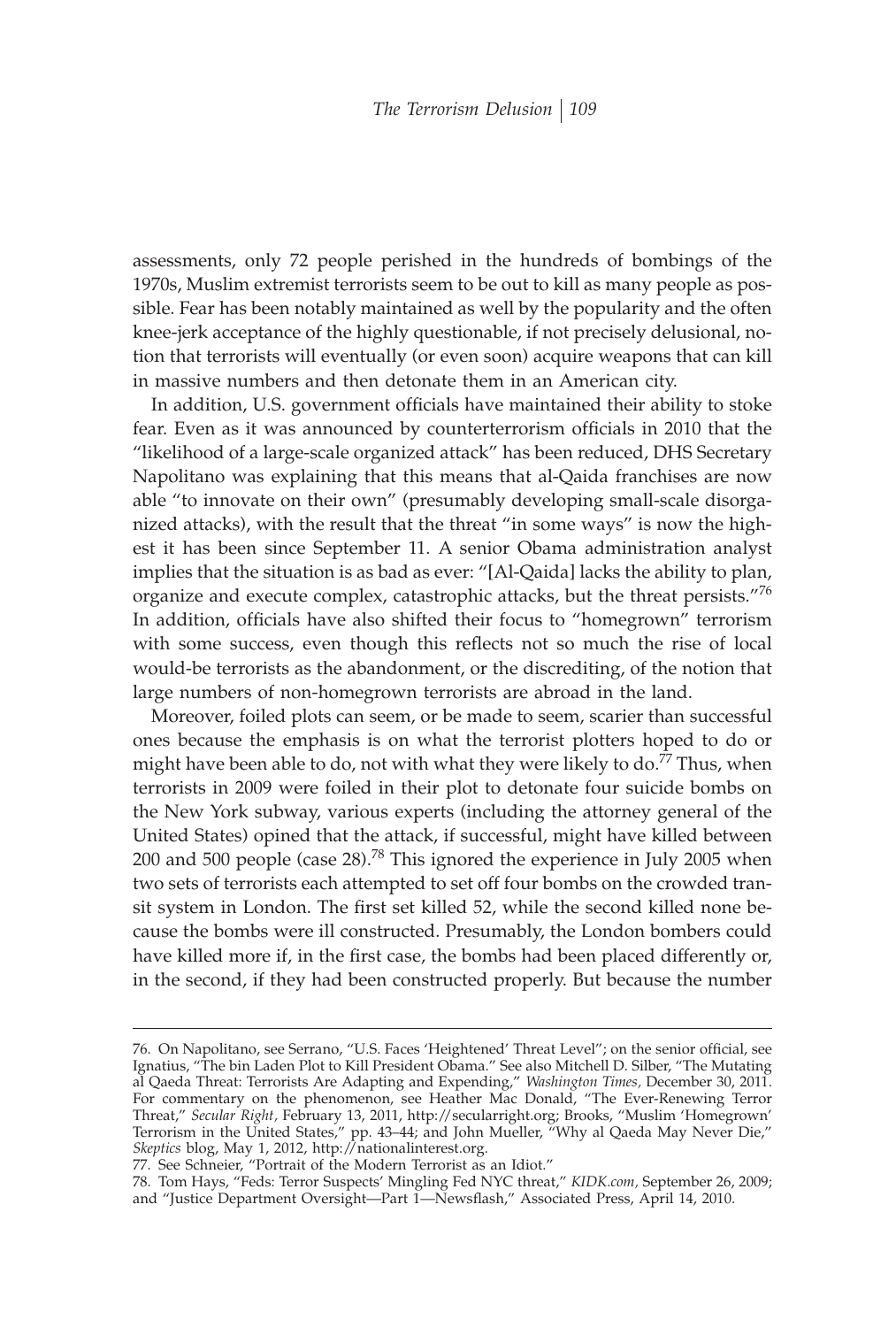assessments, only 72 people perished in the hundreds of bombings of the 1970s, Muslim extremist terrorists seem to be out to kill as many people as possible. Fear has been notably maintained as well by the popularity and the often knee-jerk acceptance of the highly questionable, if not precisely delusional, notion that terrorists will eventually (or even soon) acquire weapons that can kill in massive numbers and then detonate them in an American city.

In addition, U.S. government officials have maintained their ability to stoke fear. Even as it was announced by counterterrorism officials in 2010 that the "likelihood of a large-scale organized attack" has been reduced, DHS Secretary Napolitano was explaining that this means that al-Qaida franchises are now able "to innovate on their own" (presumably developing small-scale disorganized attacks), with the result that the threat "in some ways" is now the highest it has been since September 11. A senior Obama administration analyst implies that the situation is as bad as ever: "[Al-Qaida] lacks the ability to plan, organize and execute complex, catastrophic attacks, but the threat persists."<sup>76</sup> In addition, officials have also shifted their focus to "homegrown" terrorism with some success, even though this reflects not so much the rise of local would-be terrorists as the abandonment, or the discrediting, of the notion that large numbers of non-homegrown terrorists are abroad in the land.

Moreover, foiled plots can seem, or be made to seem, scarier than successful ones because the emphasis is on what the terrorist plotters hoped to do or might have been able to do, not with what they were likely to do.<sup>77</sup> Thus, when terrorists in 2009 were foiled in their plot to detonate four suicide bombs on the New York subway, various experts (including the attorney general of the United States) opined that the attack, if successful, might have killed between 200 and 500 people (case 28).<sup>78</sup> This ignored the experience in July 2005 when two sets of terrorists each attempted to set off four bombs on the crowded transit system in London. The first set killed 52, while the second killed none because the bombs were ill constructed. Presumably, the London bombers could have killed more if, in the first case, the bombs had been placed differently or, in the second, if they had been constructed properly. But because the number

<sup>76.</sup> On Napolitano, see Serrano, "U.S. Faces 'Heightened' Threat Level"; on the senior official, see<br>Ignatius, "The bin Laden Plot to Kill President Obama." See also Mitchell D. Silber, "The Mutating Ignatius, "The bin Laden Plot to Kill President Obama." See also Mitchell D. Silber, "The Mutating al Qaeda Threat: Terrorists Are Adapting and Expending," *Washington Times,* December 30, 2011. For commentary on the phenomenon, see Heather Mac Donald, "The Ever-Renewing Terror Threat," *Secular Right,* February 13, 2011, http://secularright.org; Brooks, "Muslim 'Homegrown' Terrorism in the United States," pp. 43–44; and John Mueller, "Why al Qaeda May Never Die," *Skeptics* blog, May 1, 2012, http://nationalinterest.org.

<sup>77.</sup> See Schneier, "Portrait of the Modern Terrorist as an Idiot."

<sup>78.</sup> Tom Hays, "Feds: Terror Suspects' Mingling Fed NYC threat," *KIDK.com,* September 26, 2009; and "Justice Department Oversight—Part 1—Newsflash," Associated Press, April 14, 2010.